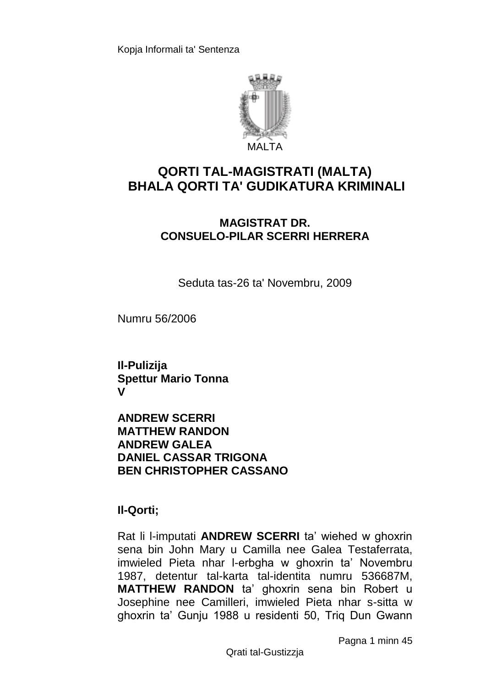

# **QORTI TAL-MAGISTRATI (MALTA) BHALA QORTI TA' GUDIKATURA KRIMINALI**

### **MAGISTRAT DR. CONSUELO-PILAR SCERRI HERRERA**

Seduta tas-26 ta' Novembru, 2009

Numru 56/2006

**Il-Pulizija Spettur Mario Tonna V**

**ANDREW SCERRI MATTHEW RANDON ANDREW GALEA DANIEL CASSAR TRIGONA BEN CHRISTOPHER CASSANO**

**Il-Qorti;**

Rat li l-imputati **ANDREW SCERRI** ta' wiehed w ghoxrin sena bin John Mary u Camilla nee Galea Testaferrata, imwieled Pieta nhar l-erbgha w ghoxrin ta' Novembru 1987, detentur tal-karta tal-identita numru 536687M, **MATTHEW RANDON** ta' ghoxrin sena bin Robert u Josephine nee Camilleri, imwieled Pieta nhar s-sitta w ghoxrin ta' Gunju 1988 u residenti 50, Triq Dun Gwann

Pagna 1 minn 45

Qrati tal-Gustizzja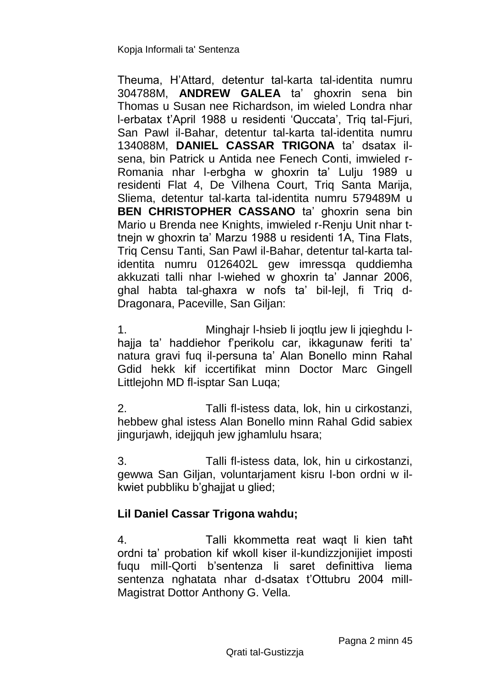Theuma, H'Attard, detentur tal-karta tal-identita numru 304788M, **ANDREW GALEA** ta' ghoxrin sena bin Thomas u Susan nee Richardson, im wieled Londra nhar l-erbatax t'April 1988 u residenti 'Quccata', Triq tal-Fjuri, San Pawl il-Bahar, detentur tal-karta tal-identita numru 134088M, **DANIEL CASSAR TRIGONA** ta' dsatax ilsena, bin Patrick u Antida nee Fenech Conti, imwieled r-Romania nhar l-erbgha w ghoxrin ta' Lulju 1989 u residenti Flat 4, De Vilhena Court, Triq Santa Marija, Sliema, detentur tal-karta tal-identita numru 579489M u **BEN CHRISTOPHER CASSANO** ta' ghoxrin sena bin Mario u Brenda nee Knights, imwieled r-Renju Unit nhar ttnejn w ghoxrin ta' Marzu 1988 u residenti 1A, Tina Flats, Triq Censu Tanti, San Pawl il-Bahar, detentur tal-karta talidentita numru 0126402L gew imressqa quddiemha akkuzati talli nhar l-wiehed w ghoxrin ta' Jannar 2006, ghal habta tal-ghaxra w nofs ta' bil-lejl, fi Triq d-Dragonara, Paceville, San Giljan:

1. Minghajr l-hsieb li joqtlu jew li jqieghdu lhajja ta' haddiehor f'perikolu car, ikkagunaw feriti ta' natura gravi fuq il-persuna ta' Alan Bonello minn Rahal Gdid hekk kif iccertifikat minn Doctor Marc Gingell Littlejohn MD fl-isptar San Luqa;

2. Talli fl-istess data, lok, hin u cirkostanzi, hebbew ghal istess Alan Bonello minn Rahal Gdid sabiex jingurjawh, idejjquh jew jghamlulu hsara;

3. Talli fl-istess data, lok, hin u cirkostanzi, gewwa San Giljan, voluntarjament kisru l-bon ordni w ilkwiet pubbliku b'ghajjat u glied;

# **Lil Daniel Cassar Trigona wahdu;**

4. Talli kkommetta reat waqt li kien taħt ordni ta' probation kif wkoll kiser il-kundizzjonijiet imposti fuqu mill-Qorti b'sentenza li saret definittiva liema sentenza nghatata nhar d-dsatax t'Ottubru 2004 mill-Magistrat Dottor Anthony G. Vella.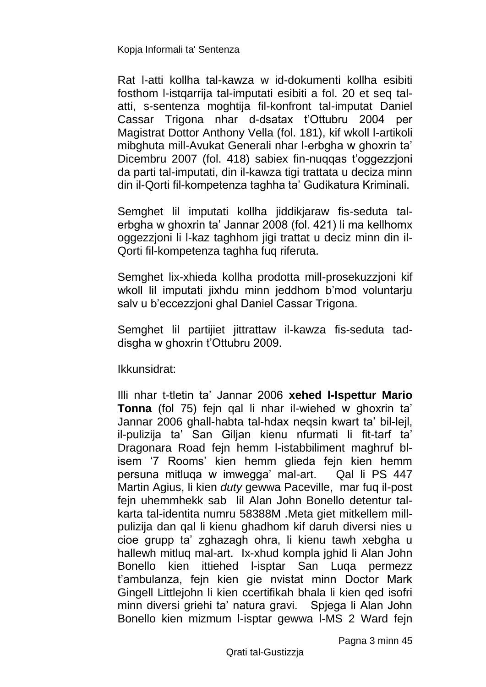Rat l-atti kollha tal-kawza w id-dokumenti kollha esibiti fosthom l-istqarrija tal-imputati esibiti a fol. 20 et seq talatti, s-sentenza moghtija fil-konfront tal-imputat Daniel Cassar Trigona nhar d-dsatax t'Ottubru 2004 per Magistrat Dottor Anthony Vella (fol. 181), kif wkoll l-artikoli mibghuta mill-Avukat Generali nhar l-erbgha w ghoxrin ta' Dicembru 2007 (fol. 418) sabiex fin-nuqqas t'oggezzjoni da parti tal-imputati, din il-kawza tigi trattata u deciza minn din il-Qorti fil-kompetenza taghha ta' Gudikatura Kriminali.

Semghet lil imputati kollha jiddikjaraw fis-seduta talerbgha w ghoxrin ta' Jannar 2008 (fol. 421) li ma kellhomx oggezzjoni li l-kaz taghhom jigi trattat u deciz minn din il-Qorti fil-kompetenza taghha fuq riferuta.

Semghet lix-xhieda kollha prodotta mill-prosekuzzjoni kif wkoll lil imputati jixhdu minn jeddhom b'mod voluntarju salv u b'eccezzjoni ghal Daniel Cassar Trigona.

Semghet lil partijiet jittrattaw il-kawza fis-seduta taddisgha w ghoxrin t'Ottubru 2009.

Ikkunsidrat:

Illi nhar t-tletin ta' Jannar 2006 **xehed l-Ispettur Mario Tonna** (fol 75) fejn qal li nhar il-wiehed w ghoxrin ta' Jannar 2006 ghall-habta tal-hdax neqsin kwart ta' bil-lejl, il-pulizija ta' San Giljan kienu nfurmati li fit-tarf ta' Dragonara Road fejn hemm l-istabbiliment maghruf blisem '7 Rooms' kien hemm glieda fejn kien hemm persuna mitluqa w imwegga' mal-art. Qal li PS 447 Martin Agius, li kien *duty* gewwa Paceville, mar fuq il-post fejn uhemmhekk sab lil Alan John Bonello detentur talkarta tal-identita numru 58388M .Meta giet mitkellem millpulizija dan qal li kienu ghadhom kif daruh diversi nies u cioe grupp ta' zghazagh ohra, li kienu tawh xebgha u hallewh mitluq mal-art. Ix-xhud kompla jghid li Alan John Bonello kien ittiehed l-isptar San Luqa permezz t'ambulanza, fejn kien gie nvistat minn Doctor Mark Gingell Littlejohn li kien ccertifikah bhala li kien qed isofri minn diversi griehi ta' natura gravi. Spjega li Alan John Bonello kien mizmum l-isptar gewwa l-MS 2 Ward fejn

Pagna 3 minn 45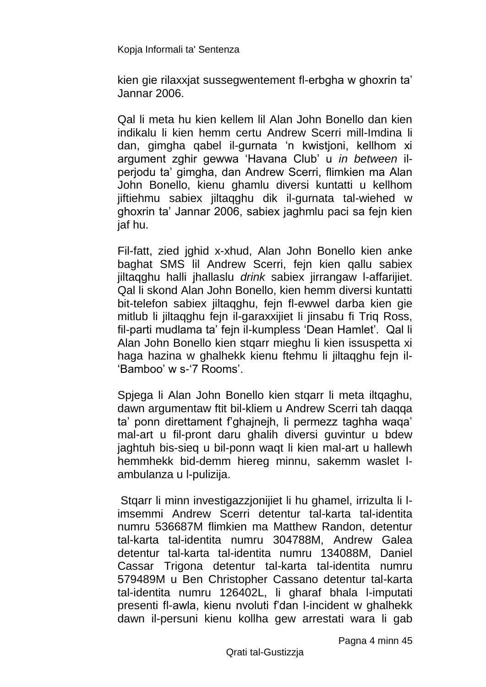kien gie rilaxxjat sussegwentement fl-erbgha w ghoxrin ta' Jannar 2006.

Qal li meta hu kien kellem lil Alan John Bonello dan kien indikalu li kien hemm certu Andrew Scerri mill-Imdina li dan, gimgha qabel il-gurnata 'n kwistjoni, kellhom xi argument zghir gewwa 'Havana Club' u *in between* ilperjodu ta' gimgha, dan Andrew Scerri, flimkien ma Alan John Bonello, kienu ghamlu diversi kuntatti u kellhom jiftiehmu sabiex jiltaqghu dik il-gurnata tal-wiehed w ghoxrin ta' Jannar 2006, sabiex jaghmlu paci sa fejn kien jaf hu.

Fil-fatt, zied jghid x-xhud, Alan John Bonello kien anke baghat SMS lil Andrew Scerri, fejn kien qallu sabiex jiltaqghu halli jhallaslu *drink* sabiex jirrangaw l-affarijiet. Qal li skond Alan John Bonello, kien hemm diversi kuntatti bit-telefon sabiex jiltaqghu, fejn fl-ewwel darba kien gie mitlub li jiltaqghu fejn il-garaxxijiet li jinsabu fi Triq Ross, fil-parti mudlama ta' fejn il-kumpless 'Dean Hamlet'. Qal li Alan John Bonello kien stqarr mieghu li kien issuspetta xi haga hazina w ghalhekk kienu ftehmu li jiltagghu fein il-'Bamboo' w s-'7 Rooms'.

Spjega li Alan John Bonello kien stqarr li meta iltqaghu, dawn argumentaw ftit bil-kliem u Andrew Scerri tah daqqa ta' ponn direttament f'ghajnejh, li permezz taghha waqa' mal-art u fil-pront daru ghalih diversi guvintur u bdew jaghtuh bis-sieq u bil-ponn waqt li kien mal-art u hallewh hemmhekk bid-demm hiereg minnu, sakemm waslet lambulanza u l-pulizija.

Stqarr li minn investigazzjonijiet li hu ghamel, irrizulta li limsemmi Andrew Scerri detentur tal-karta tal-identita numru 536687M flimkien ma Matthew Randon, detentur tal-karta tal-identita numru 304788M, Andrew Galea detentur tal-karta tal-identita numru 134088M, Daniel Cassar Trigona detentur tal-karta tal-identita numru 579489M u Ben Christopher Cassano detentur tal-karta tal-identita numru 126402L, li gharaf bhala l-imputati presenti fl-awla, kienu nvoluti f'dan l-incident w ghalhekk dawn il-persuni kienu kollha gew arrestati wara li gab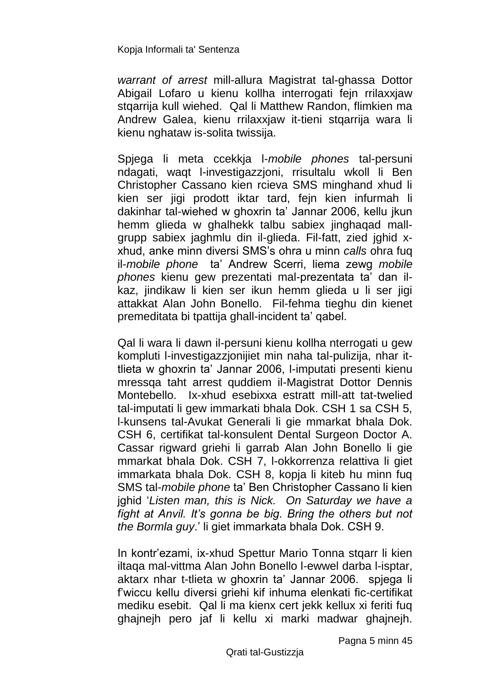*warrant of arrest* mill-allura Magistrat tal-ghassa Dottor Abigail Lofaro u kienu kollha interrogati fejn rrilaxxjaw stgarrija kull wiehed. Qal li Matthew Randon, flimkien ma Andrew Galea, kienu rrilaxxjaw it-tieni stqarrija wara li kienu nghataw is-solita twissija.

Spjega li meta ccekkja l-*mobile phones* tal-persuni ndagati, waqt l-investigazzjoni, rrisultalu wkoll li Ben Christopher Cassano kien rcieva SMS minghand xhud li kien ser jigi prodott iktar tard, fejn kien infurmah li dakinhar tal-wiehed w ghoxrin ta' Jannar 2006, kellu jkun hemm glieda w ghalhekk talbu sabiex jinghaqad mallgrupp sabiex jaghmlu din il-glieda. Fil-fatt, zied jghid xxhud, anke minn diversi SMS's ohra u minn *calls* ohra fuq il-*mobile phone* ta' Andrew Scerri, liema zewg *mobile phones* kienu gew prezentati mal-prezentata ta' dan ilkaz, jindikaw li kien ser ikun hemm glieda u li ser jigi attakkat Alan John Bonello. Fil-fehma tieghu din kienet premeditata bi tpattija ghall-incident ta' qabel.

Qal li wara li dawn il-persuni kienu kollha nterrogati u gew kompluti l-investigazzjonijiet min naha tal-pulizija, nhar ittlieta w ghoxrin ta' Jannar 2006, l-imputati presenti kienu mressqa taht arrest quddiem il-Magistrat Dottor Dennis Montebello. Ix-xhud esebixxa estratt mill-att tat-twelied tal-imputati li gew immarkati bhala Dok. CSH 1 sa CSH 5, l-kunsens tal-Avukat Generali li gie mmarkat bhala Dok. CSH 6, certifikat tal-konsulent Dental Surgeon Doctor A. Cassar rigward griehi li garrab Alan John Bonello li gie mmarkat bhala Dok. CSH 7, l-okkorrenza relattiva li giet immarkata bhala Dok. CSH 8, kopja li kiteb hu minn fuq SMS tal-*mobile phone* ta' Ben Christopher Cassano li kien jghid '*Listen man, this is Nick. On Saturday we have a fight at Anvil. It's gonna be big. Bring the others but not the Bormla guy*.' li giet immarkata bhala Dok. CSH 9.

In kontr'ezami, ix-xhud Spettur Mario Tonna stqarr li kien iltaqa mal-vittma Alan John Bonello l-ewwel darba l-isptar, aktarx nhar t-tlieta w ghoxrin ta' Jannar 2006. spjega li f'wiccu kellu diversi griehi kif inhuma elenkati fic-certifikat mediku esebit. Qal li ma kienx cert jekk kellux xi feriti fuq ghajnejh pero jaf li kellu xi marki madwar ghajnejh.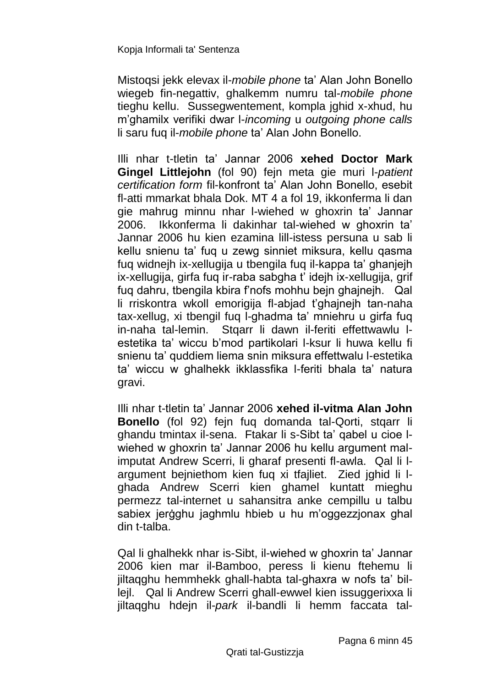Mistoqsi jekk elevax il-*mobile phone* ta' Alan John Bonello wiegeb fin-negattiv, ghalkemm numru tal-*mobile phone* tieghu kellu. Sussegwentement, kompla jghid x-xhud, hu m'ghamilx verifiki dwar l-*incoming* u *outgoing phone calls* li saru fuq il-*mobile phone* ta' Alan John Bonello.

Illi nhar t-tletin ta' Jannar 2006 **xehed Doctor Mark Gingel Littlejohn** (fol 90) fejn meta gie muri l-*patient certification form* fil-konfront ta' Alan John Bonello, esebit fl-atti mmarkat bhala Dok. MT 4 a fol 19, ikkonferma li dan gie mahrug minnu nhar l-wiehed w ghoxrin ta' Jannar 2006. Ikkonferma li dakinhar tal-wiehed w ghoxrin ta' Jannar 2006 hu kien ezamina lill-istess persuna u sab li kellu snienu ta' fuq u zewg sinniet miksura, kellu qasma fuq widnejh ix-xellugija u tbengila fuq il-kappa ta' ghanjejh ix-xellugija, girfa fuq ir-raba sabgha t' idejh ix-xellugija, grif fuq dahru, tbengila kbira f'nofs mohhu bejn ghajnejh. Qal li rriskontra wkoll emorigija fl-abjad t'ghajnejh tan-naha tax-xellug, xi tbengil fuq l-ghadma ta' mniehru u girfa fuq in-naha tal-lemin. Stqarr li dawn il-feriti effettwawlu lestetika ta' wiccu b'mod partikolari l-ksur li huwa kellu fi snienu ta' quddiem liema snin miksura effettwalu l-estetika ta' wiccu w ghalhekk ikklassfika l-feriti bhala ta' natura gravi.

Illi nhar t-tletin ta' Jannar 2006 **xehed il-vitma Alan John Bonello** (fol 92) fejn fuq domanda tal-Qorti, stqarr li ghandu tmintax il-sena. Ftakar li s-Sibt ta' qabel u cioe lwiehed w ghoxrin ta' Jannar 2006 hu kellu argument malimputat Andrew Scerri, li gharaf presenti fl-awla. Qal li largument bejniethom kien fuq xi tfajliet. Zied jghid li lghada Andrew Scerri kien ghamel kuntatt mieghu permezz tal-internet u sahansitra anke cempillu u talbu sabiex jerġghu jaghmlu hbieb u hu m'oggezzjonax ghal din t-talba.

Qal li ghalhekk nhar is-Sibt, il-wiehed w ghoxrin ta' Jannar 2006 kien mar il-Bamboo, peress li kienu ftehemu li jiltaqghu hemmhekk ghall-habta tal-ghaxra w nofs ta' billejl. Qal li Andrew Scerri ghall-ewwel kien issuggerixxa li jiltaqghu hdejn il-*park* il-bandli li hemm faccata tal-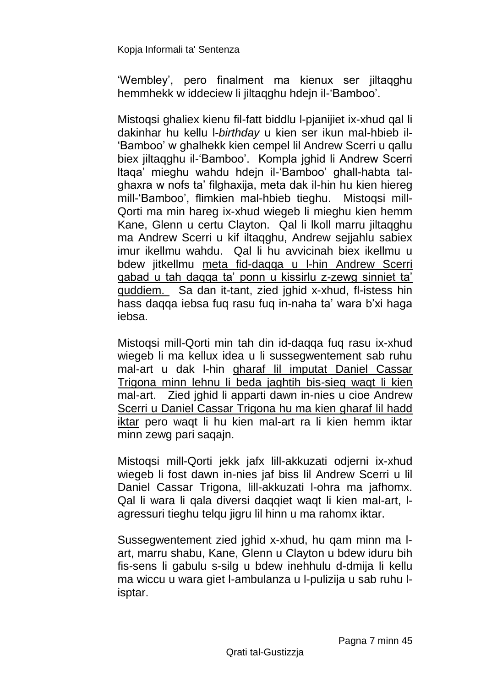'Wembley', pero finalment ma kienux ser jiltaqghu hemmhekk w iddeciew li jiltaqghu hdejn il-'Bamboo'.

Mistoqsi ghaliex kienu fil-fatt biddlu l-pjanijiet ix-xhud qal li dakinhar hu kellu l-*birthday* u kien ser ikun mal-hbieb il- 'Bamboo' w ghalhekk kien cempel lil Andrew Scerri u qallu biex jiltaqghu il-'Bamboo'. Kompla jghid li Andrew Scerri ltaqa' mieghu wahdu hdejn il-'Bamboo' ghall-habta talghaxra w nofs ta' filghaxija, meta dak il-hin hu kien hiereg mill-'Bamboo', flimkien mal-hbieb tieghu. Mistoqsi mill-Qorti ma min hareg ix-xhud wiegeb li mieghu kien hemm Kane, Glenn u certu Clayton. Qal li lkoll marru jiltaqghu ma Andrew Scerri u kif iltaqghu, Andrew sejjahlu sabiex imur ikellmu wahdu. Qal li hu avvicinah biex ikellmu u bdew jitkellmu meta fid-daqqa u l-hin Andrew Scerri qabad u tah daqqa ta' ponn u kissirlu z-zewg sinniet ta' quddiem. Sa dan it-tant, zied jghid x-xhud, fl-istess hin hass daqqa iebsa fuq rasu fuq in-naha ta' wara b'xi haga iebsa.

Mistoqsi mill-Qorti min tah din id-daqqa fuq rasu ix-xhud wiegeb li ma kellux idea u li sussegwentement sab ruhu mal-art u dak l-hin gharaf lil imputat Daniel Cassar Trigona minn lehnu li beda jaghtih bis-sieq waqt li kien mal-art. Zied jghid li apparti dawn in-nies u cioe Andrew Scerri u Daniel Cassar Trigona hu ma kien gharaf lil hadd iktar pero waqt li hu kien mal-art ra li kien hemm iktar minn zewg pari saqajn.

Mistoqsi mill-Qorti jekk jafx lill-akkuzati odjerni ix-xhud wiegeb li fost dawn in-nies jaf biss lil Andrew Scerri u lil Daniel Cassar Trigona, lill-akkuzati l-ohra ma jafhomx. Qal li wara li qala diversi daqqiet waqt li kien mal-art, lagressuri tieghu telqu jigru lil hinn u ma rahomx iktar.

Sussegwentement zied jghid x-xhud, hu qam minn ma lart, marru shabu, Kane, Glenn u Clayton u bdew iduru bih fis-sens li gabulu s-silg u bdew inehhulu d-dmija li kellu ma wiccu u wara giet l-ambulanza u l-pulizija u sab ruhu lisptar.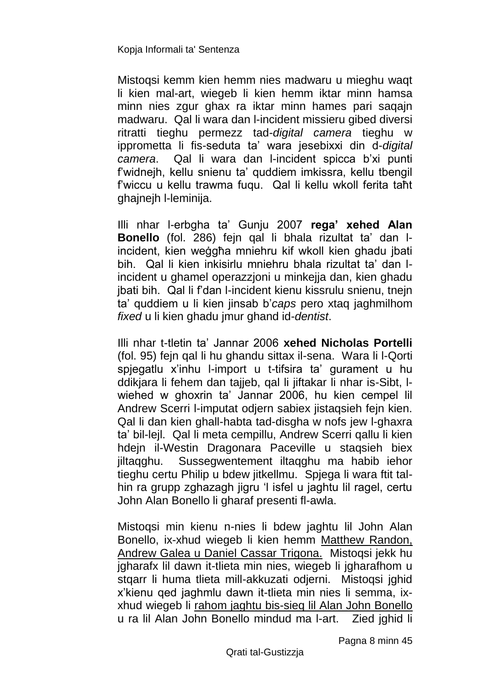Mistoqsi kemm kien hemm nies madwaru u mieghu waqt li kien mal-art, wiegeb li kien hemm iktar minn hamsa minn nies zgur ghax ra iktar minn hames pari saqajn madwaru. Qal li wara dan l-incident missieru gibed diversi ritratti tieghu permezz tad-*digital camera* tieghu w ipprometta li fis-seduta ta' wara jesebixxi din d-*digital camera*. Qal li wara dan l-incident spicca b'xi punti f'widnejh, kellu snienu ta' quddiem imkissra, kellu tbengil f'wiccu u kellu trawma fuqu. Qal li kellu wkoll ferita taħt ghajnejh l-leminija.

Illi nhar l-erbgha ta' Gunju 2007 **rega' xehed Alan Bonello** (fol. 286) fejn qal li bhala rizultat ta' dan lincident, kien weġgħa mniehru kif wkoll kien ghadu jbati bih. Qal li kien inkisirlu mniehru bhala rizultat ta' dan lincident u ghamel operazzjoni u minkejja dan, kien ghadu jbati bih. Qal li f'dan l-incident kienu kissrulu snienu, tnejn ta' quddiem u li kien jinsab b'*caps* pero xtaq jaghmilhom *fixed* u li kien ghadu jmur ghand id-*dentist*.

Illi nhar t-tletin ta' Jannar 2006 **xehed Nicholas Portelli** (fol. 95) fejn qal li hu ghandu sittax il-sena. Wara li l-Qorti spjegatlu x'inhu l-import u t-tifsira ta' gurament u hu ddikjara li fehem dan tajjeb, qal li jiftakar li nhar is-Sibt, lwiehed w ghoxrin ta' Jannar 2006, hu kien cempel lil Andrew Scerri I-imputat odiern sabiex iistagsieh fein kien. Qal li dan kien ghall-habta tad-disgha w nofs jew l-ghaxra ta' bil-lejl. Qal li meta cempillu, Andrew Scerri qallu li kien hdejn il-Westin Dragonara Paceville u staqsieh biex jiltaqghu. Sussegwentement iltaqghu ma habib iehor tieghu certu Philip u bdew jitkellmu. Spjega li wara ftit talhin ra grupp zghazagh jigru 'l isfel u jaghtu lil ragel, certu John Alan Bonello li gharaf presenti fl-awla.

Mistoqsi min kienu n-nies li bdew jaghtu lil John Alan Bonello, ix-xhud wiegeb li kien hemm Matthew Randon, Andrew Galea u Daniel Cassar Trigona. Mistoqsi jekk hu jgharafx lil dawn it-tlieta min nies, wiegeb li jgharafhom u stqarr li huma tlieta mill-akkuzati odjerni. Mistoqsi jghid x'kienu qed jaghmlu dawn it-tlieta min nies li semma, ixxhud wiegeb li rahom jaghtu bis-sieq lil Alan John Bonello u ra lil Alan John Bonello mindud ma l-art. Zied jghid li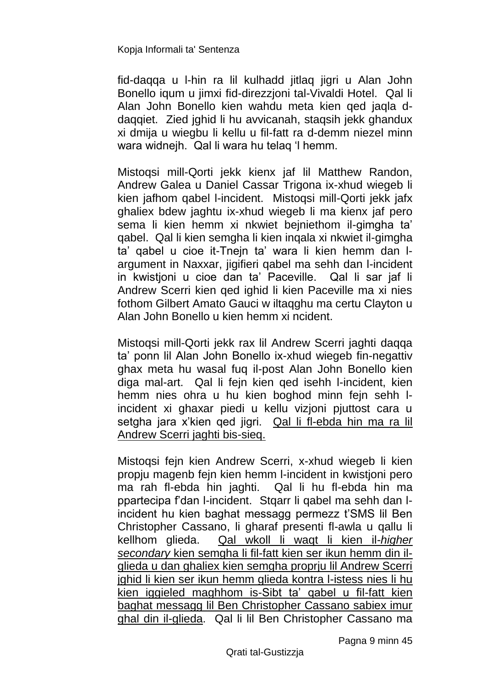fid-daqqa u l-hin ra lil kulhadd jitlaq jigri u Alan John Bonello iqum u jimxi fid-direzzjoni tal-Vivaldi Hotel. Qal li Alan John Bonello kien wahdu meta kien qed jaqla ddaqqiet. Zied jghid li hu avvicanah, staqsih jekk ghandux xi dmija u wiegbu li kellu u fil-fatt ra d-demm niezel minn wara widnejh. Qal li wara hu telaq 'l hemm.

Mistoqsi mill-Qorti jekk kienx jaf lil Matthew Randon, Andrew Galea u Daniel Cassar Trigona ix-xhud wiegeb li kien jafhom qabel l-incident. Mistoqsi mill-Qorti jekk jafx ghaliex bdew jaghtu ix-xhud wiegeb li ma kienx jaf pero sema li kien hemm xi nkwiet bejniethom il-gimgha ta' qabel. Qal li kien semgha li kien inqala xi nkwiet il-gimgha ta' qabel u cioe it-Tnejn ta' wara li kien hemm dan largument in Naxxar, jigifieri qabel ma sehh dan l-incident in kwistjoni u cioe dan ta' Paceville. Qal li sar jaf li Andrew Scerri kien qed ighid li kien Paceville ma xi nies fothom Gilbert Amato Gauci w iltaqghu ma certu Clayton u Alan John Bonello u kien hemm xi ncident.

Mistoqsi mill-Qorti jekk rax lil Andrew Scerri jaghti daqqa ta' ponn lil Alan John Bonello ix-xhud wiegeb fin-negattiv ghax meta hu wasal fuq il-post Alan John Bonello kien diga mal-art. Qal li fejn kien qed isehh l-incident, kien hemm nies ohra u hu kien boghod minn fejn sehh lincident xi ghaxar piedi u kellu vizjoni pjuttost cara u setgha jara x'kien qed jigri. Qal li fl-ebda hin ma ra lil Andrew Scerri jaghti bis-sieq.

Mistoqsi fejn kien Andrew Scerri, x-xhud wiegeb li kien propju magenb fejn kien hemm l-incident in kwistjoni pero ma rah fl-ebda hin jaghti. Qal li hu fl-ebda hin ma ppartecipa f'dan l-incident. Stqarr li qabel ma sehh dan lincident hu kien baghat messagg permezz t'SMS lil Ben Christopher Cassano, li gharaf presenti fl-awla u qallu li kellhom glieda. Qal wkoll li waqt li kien il-*higher secondary* kien semgha li fil-fatt kien ser ikun hemm din ilglieda u dan ghaliex kien semgha proprju lil Andrew Scerri jghid li kien ser ikun hemm glieda kontra l-istess nies li hu kien iggieled maghhom is-Sibt ta' qabel u fil-fatt kien baghat messagg lil Ben Christopher Cassano sabiex imur ghal din il-glieda. Qal li lil Ben Christopher Cassano ma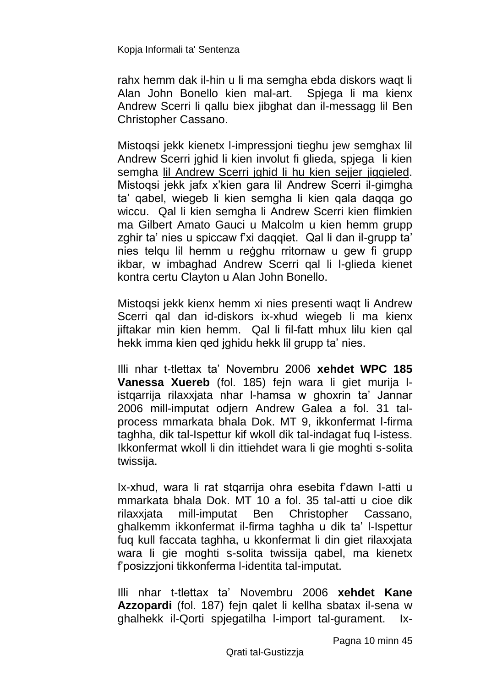rahx hemm dak il-hin u li ma semgha ebda diskors waqt li Alan John Bonello kien mal-art. Spjega li ma kienx Andrew Scerri li qallu biex jibghat dan il-messagg lil Ben Christopher Cassano.

Mistoqsi jekk kienetx l-impressjoni tieghu jew semghax lil Andrew Scerri jghid li kien involut fi glieda, spjega li kien semgha lil Andrew Scerri jghid li hu kien sejjer jiggieled. Mistoqsi jekk jafx x'kien gara lil Andrew Scerri il-gimgha ta' qabel, wiegeb li kien semgha li kien qala daqqa go wiccu. Qal li kien semgha li Andrew Scerri kien flimkien ma Gilbert Amato Gauci u Malcolm u kien hemm grupp zghir ta' nies u spiccaw f'xi daqqiet. Qal li dan il-grupp ta' nies telqu lil hemm u reġghu rritornaw u gew fi grupp ikbar, w imbaghad Andrew Scerri qal li l-glieda kienet kontra certu Clayton u Alan John Bonello.

Mistoqsi jekk kienx hemm xi nies presenti waqt li Andrew Scerri qal dan id-diskors ix-xhud wiegeb li ma kienx jiftakar min kien hemm. Qal li fil-fatt mhux lilu kien qal hekk imma kien qed jghidu hekk lil grupp ta' nies.

Illi nhar t-tlettax ta' Novembru 2006 **xehdet WPC 185 Vanessa Xuereb** (fol. 185) fejn wara li giet murija listqarrija rilaxxjata nhar l-hamsa w ghoxrin ta' Jannar 2006 mill-imputat odjern Andrew Galea a fol. 31 talprocess mmarkata bhala Dok. MT 9, ikkonfermat l-firma taghha, dik tal-Ispettur kif wkoll dik tal-indagat fuq l-istess. Ikkonfermat wkoll li din ittiehdet wara li gie moghti s-solita twissija.

Ix-xhud, wara li rat stqarrija ohra esebita f'dawn l-atti u mmarkata bhala Dok. MT 10 a fol. 35 tal-atti u cioe dik rilaxxjata mill-imputat Ben Christopher Cassano, ghalkemm ikkonfermat il-firma taghha u dik ta' l-Ispettur fuq kull faccata taghha, u kkonfermat li din giet rilaxxjata wara li gie moghti s-solita twissija qabel, ma kienetx f'posizzjoni tikkonferma l-identita tal-imputat.

Illi nhar t-tlettax ta' Novembru 2006 **xehdet Kane Azzopardi** (fol. 187) fejn qalet li kellha sbatax il-sena w ghalhekk il-Qorti spjegatilha l-import tal-gurament. Ix-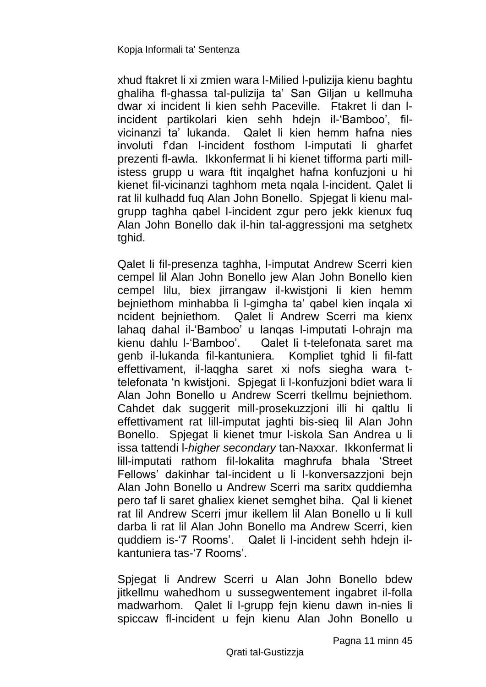xhud ftakret li xi zmien wara l-Milied l-pulizija kienu baghtu ghaliha fl-ghassa tal-pulizija ta' San Giljan u kellmuha dwar xi incident li kien sehh Paceville. Ftakret li dan lincident partikolari kien sehh hdejn il-'Bamboo', filvicinanzi ta' lukanda. Qalet li kien hemm hafna nies involuti f'dan l-incident fosthom l-imputati li gharfet prezenti fl-awla. Ikkonfermat li hi kienet tifforma parti millistess grupp u wara ftit inqalghet hafna konfuzjoni u hi kienet fil-vicinanzi taghhom meta nqala l-incident. Qalet li rat lil kulhadd fuq Alan John Bonello. Spjegat li kienu malgrupp taghha qabel l-incident zgur pero jekk kienux fuq Alan John Bonello dak il-hin tal-aggressjoni ma setghetx tghid.

Qalet li fil-presenza taghha, l-imputat Andrew Scerri kien cempel lil Alan John Bonello jew Alan John Bonello kien cempel lilu, biex jirrangaw il-kwistjoni li kien hemm bejniethom minhabba li l-gimgha ta' qabel kien inqala xi ncident bejniethom. Qalet li Andrew Scerri ma kienx lahaq dahal il-'Bamboo' u lanqas l-imputati l-ohrajn ma kienu dahlu l-'Bamboo'. Qalet li t-telefonata saret ma genb il-lukanda fil-kantuniera. Kompliet tghid li fil-fatt effettivament, il-laqgha saret xi nofs siegha wara ttelefonata 'n kwistjoni. Spjegat li l-konfuzjoni bdiet wara li Alan John Bonello u Andrew Scerri tkellmu bejniethom. Cahdet dak suggerit mill-prosekuzzjoni illi hi qaltlu li effettivament rat lill-imputat jaghti bis-sieq lil Alan John Bonello. Spjegat li kienet tmur l-iskola San Andrea u li issa tattendi l-*higher secondary* tan-Naxxar. Ikkonfermat li lill-imputati rathom fil-lokalita maghrufa bhala 'Street Fellows' dakinhar tal-incident u li l-konversazzjoni bejn Alan John Bonello u Andrew Scerri ma saritx quddiemha pero taf li saret ghaliex kienet semghet biha. Qal li kienet rat lil Andrew Scerri jmur ikellem lil Alan Bonello u li kull darba li rat lil Alan John Bonello ma Andrew Scerri, kien quddiem is-'7 Rooms'. Qalet li l-incident sehh hdejn ilkantuniera tas-'7 Rooms'.

Spjegat li Andrew Scerri u Alan John Bonello bdew jitkellmu wahedhom u sussegwentement ingabret il-folla madwarhom. Qalet li l-grupp fejn kienu dawn in-nies li spiccaw fl-incident u fejn kienu Alan John Bonello u

Pagna 11 minn 45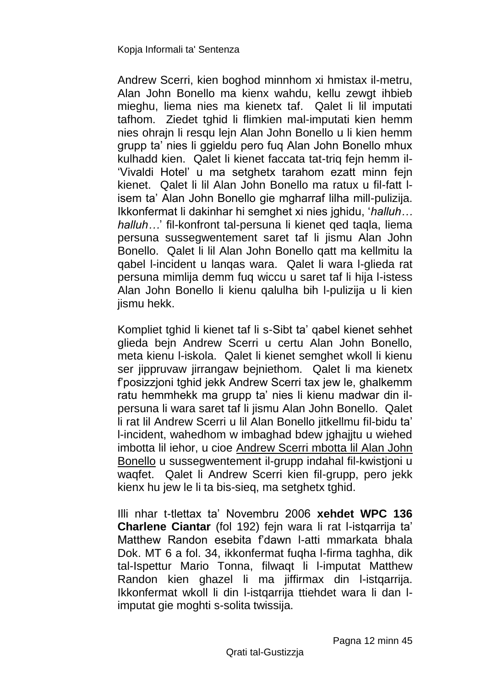Andrew Scerri, kien boghod minnhom xi hmistax il-metru, Alan John Bonello ma kienx wahdu, kellu zewgt ihbieb mieghu, liema nies ma kienetx taf. Qalet li lil imputati tafhom. Ziedet tghid li flimkien mal-imputati kien hemm nies ohrajn li resqu lejn Alan John Bonello u li kien hemm grupp ta' nies li ggieldu pero fuq Alan John Bonello mhux kulhadd kien. Qalet li kienet faccata tat-triq fejn hemm il- 'Vivaldi Hotel' u ma setghetx tarahom ezatt minn fejn kienet. Qalet li lil Alan John Bonello ma ratux u fil-fatt lisem ta' Alan John Bonello gie mgharraf lilha mill-pulizija. Ikkonfermat li dakinhar hi semghet xi nies jghidu, '*halluh… halluh…*' fil-konfront tal-persuna li kienet qed taqla, liema persuna sussegwentement saret taf li jismu Alan John Bonello. Qalet li lil Alan John Bonello qatt ma kellmitu la qabel l-incident u lanqas wara. Qalet li wara l-glieda rat persuna mimlija demm fuq wiccu u saret taf li hija l-istess Alan John Bonello li kienu qalulha bih l-pulizija u li kien jismu hekk.

Kompliet tghid li kienet taf li s-Sibt ta' qabel kienet sehhet glieda bejn Andrew Scerri u certu Alan John Bonello, meta kienu l-iskola. Qalet li kienet semghet wkoll li kienu ser jippruvaw jirrangaw bejniethom. Qalet li ma kienetx f'posizzjoni tghid jekk Andrew Scerri tax jew le, ghalkemm ratu hemmhekk ma grupp ta' nies li kienu madwar din ilpersuna li wara saret taf li jismu Alan John Bonello. Qalet li rat lil Andrew Scerri u lil Alan Bonello jitkellmu fil-bidu ta' l-incident, wahedhom w imbaghad bdew jghajjtu u wiehed imbotta lil iehor, u cioe Andrew Scerri mbotta lil Alan John Bonello u sussegwentement il-grupp indahal fil-kwistjoni u waqfet. Qalet li Andrew Scerri kien fil-grupp, pero jekk kienx hu jew le li ta bis-sieq, ma setghetx tghid.

Illi nhar t-tlettax ta' Novembru 2006 **xehdet WPC 136 Charlene Ciantar** (fol 192) fejn wara li rat l-istqarrija ta' Matthew Randon esebita f'dawn l-atti mmarkata bhala Dok. MT 6 a fol. 34, ikkonfermat fuqha l-firma taghha, dik tal-Ispettur Mario Tonna, filwaqt li l-imputat Matthew Randon kien ghazel li ma jiffirmax din l-istqarrija. Ikkonfermat wkoll li din l-istqarrija ttiehdet wara li dan limputat gie moghti s-solita twissija.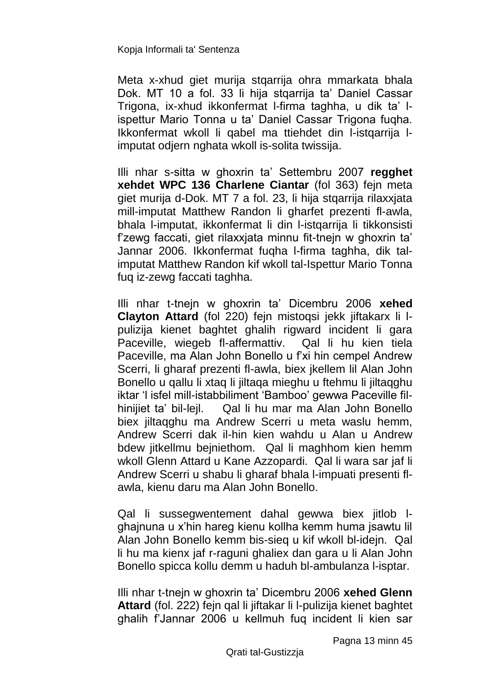Meta x-xhud giet murija stqarrija ohra mmarkata bhala Dok. MT 10 a fol. 33 li hija stqarrija ta' Daniel Cassar Trigona, ix-xhud ikkonfermat l-firma taghha, u dik ta' lispettur Mario Tonna u ta' Daniel Cassar Trigona fuqha. Ikkonfermat wkoll li qabel ma ttiehdet din l-istqarrija limputat odjern nghata wkoll is-solita twissija.

Illi nhar s-sitta w ghoxrin ta' Settembru 2007 **regghet xehdet WPC 136 Charlene Ciantar** (fol 363) fejn meta giet murija d-Dok. MT 7 a fol. 23, li hija stqarrija rilaxxjata mill-imputat Matthew Randon li gharfet prezenti fl-awla, bhala l-imputat, ikkonfermat li din l-istqarrija li tikkonsisti f'zewg faccati, giet rilaxxjata minnu fit-tnejn w ghoxrin ta' Jannar 2006. Ikkonfermat fuqha l-firma taghha, dik talimputat Matthew Randon kif wkoll tal-Ispettur Mario Tonna fuq iz-zewg faccati taghha.

Illi nhar t-tnejn w ghoxrin ta' Dicembru 2006 **xehed Clayton Attard** (fol 220) fejn mistoqsi jekk jiftakarx li lpulizija kienet baghtet ghalih rigward incident li gara Paceville, wiegeb fl-affermattiv. Qal li hu kien tiela Paceville, ma Alan John Bonello u f'xi hin cempel Andrew Scerri, li gharaf prezenti fl-awla, biex jkellem lil Alan John Bonello u qallu li xtaq li jiltaqa mieghu u ftehmu li jiltaqghu iktar 'l isfel mill-istabbiliment 'Bamboo' gewwa Paceville filhinijiet ta' bil-lejl. Qal li hu mar ma Alan John Bonello biex jiltaqghu ma Andrew Scerri u meta waslu hemm, Andrew Scerri dak il-hin kien wahdu u Alan u Andrew bdew jitkellmu bejniethom. Qal li maghhom kien hemm wkoll Glenn Attard u Kane Azzopardi. Qal li wara sar jaf li Andrew Scerri u shabu li gharaf bhala l-impuati presenti flawla, kienu daru ma Alan John Bonello.

Qal li sussegwentement dahal gewwa biex jitlob lghajnuna u x'hin hareg kienu kollha kemm huma jsawtu lil Alan John Bonello kemm bis-sieq u kif wkoll bl-idejn. Qal li hu ma kienx jaf r-raguni ghaliex dan gara u li Alan John Bonello spicca kollu demm u haduh bl-ambulanza l-isptar.

Illi nhar t-tnejn w ghoxrin ta' Dicembru 2006 **xehed Glenn Attard** (fol. 222) fejn qal li jiftakar li l-pulizija kienet baghtet ghalih f'Jannar 2006 u kellmuh fuq incident li kien sar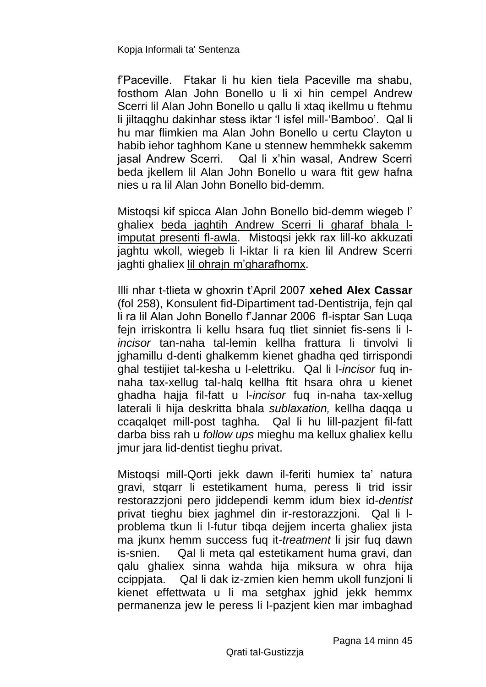f'Paceville. Ftakar li hu kien tiela Paceville ma shabu, fosthom Alan John Bonello u li xi hin cempel Andrew Scerri lil Alan John Bonello u qallu li xtaq ikellmu u ftehmu li jiltaqghu dakinhar stess iktar 'l isfel mill-'Bamboo'. Qal li hu mar flimkien ma Alan John Bonello u certu Clayton u habib iehor taghhom Kane u stennew hemmhekk sakemm jasal Andrew Scerri. Qal li x'hin wasal, Andrew Scerri beda jkellem lil Alan John Bonello u wara ftit gew hafna nies u ra lil Alan John Bonello bid-demm.

Mistoqsi kif spicca Alan John Bonello bid-demm wiegeb l' ghaliex beda jaghtih Andrew Scerri li gharaf bhala limputat presenti fl-awla. Mistoqsi jekk rax lill-ko akkuzati jaghtu wkoll, wiegeb li l-iktar li ra kien lil Andrew Scerri jaghti ghaliex lil ohrajn m'gharafhomx.

Illi nhar t-tlieta w ghoxrin t'April 2007 **xehed Alex Cassar** (fol 258), Konsulent fid-Dipartiment tad-Dentistrija, fejn qal li ra lil Alan John Bonello f'Jannar 2006 fl-isptar San Luqa fejn irriskontra li kellu hsara fuq tliet sinniet fis-sens li l*incisor* tan-naha tal-lemin kellha frattura li tinvolvi li jghamillu d-denti ghalkemm kienet ghadha qed tirrispondi ghal testijiet tal-kesha u l-elettriku. Qal li l-*incisor* fuq innaha tax-xellug tal-halq kellha ftit hsara ohra u kienet ghadha hajja fil-fatt u l-*incisor* fuq in-naha tax-xellug laterali li hija deskritta bhala *sublaxation,* kellha daqqa u ccaqalqet mill-post taghha. Qal li hu lill-pazjent fil-fatt darba biss rah u *follow ups* mieghu ma kellux ghaliex kellu jmur jara lid-dentist tieghu privat.

Mistoqsi mill-Qorti jekk dawn il-feriti humiex ta' natura gravi, stqarr li estetikament huma, peress li trid issir restorazzjoni pero jiddependi kemm idum biex id-*dentist* privat tieghu biex jaghmel din ir-restorazzjoni. Qal li lproblema tkun li l-futur tibqa dejjem incerta ghaliex jista ma jkunx hemm success fuq it-*treatment* li jsir fuq dawn is-snien. Qal li meta qal estetikament huma gravi, dan qalu ghaliex sinna wahda hija miksura w ohra hija ccippjata. Qal li dak iz-zmien kien hemm ukoll funzjoni li kienet effettwata u li ma setghax jghid jekk hemmx permanenza jew le peress li l-pazjent kien mar imbaghad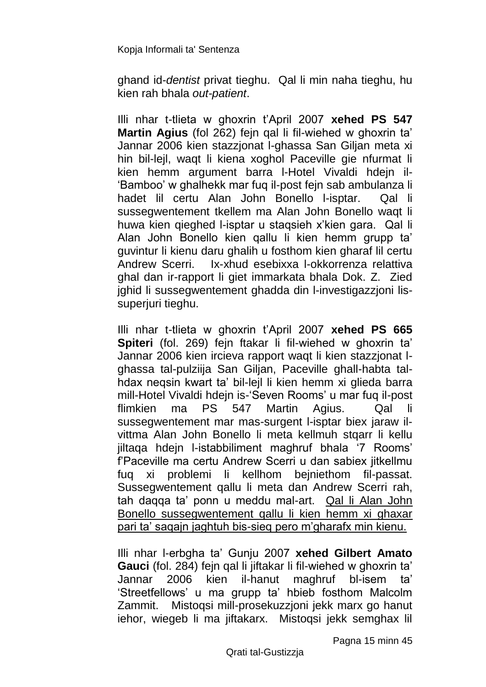ghand id-*dentist* privat tieghu. Qal li min naha tieghu, hu kien rah bhala *out-patient*.

Illi nhar t-tlieta w ghoxrin t'April 2007 **xehed PS 547 Martin Agius** (fol 262) fejn qal li fil-wiehed w ghoxrin ta' Jannar 2006 kien stazzjonat l-ghassa San Giljan meta xi hin bil-lejl, waqt li kiena xoghol Paceville gie nfurmat li kien hemm argument barra l-Hotel Vivaldi hdejn il- 'Bamboo' w ghalhekk mar fuq il-post fejn sab ambulanza li hadet lil certu Alan John Bonello l-isptar. Qal li sussegwentement tkellem ma Alan John Bonello waqt li huwa kien qieghed l-isptar u staqsieh x'kien gara. Qal li Alan John Bonello kien qallu li kien hemm grupp ta' guvintur li kienu daru ghalih u fosthom kien gharaf lil certu Andrew Scerri. Ix-xhud esebixxa l-okkorrenza relattiva ghal dan ir-rapport li giet immarkata bhala Dok. Z. Zied jghid li sussegwentement ghadda din l-investigazzjoni lissuperjuri tieghu.

Illi nhar t-tlieta w ghoxrin t'April 2007 **xehed PS 665 Spiteri** (fol. 269) fejn ftakar li fil-wiehed w ghoxrin ta' Jannar 2006 kien ircieva rapport waqt li kien stazzjonat lghassa tal-pulziija San Giljan, Paceville ghall-habta talhdax neqsin kwart ta' bil-lejl li kien hemm xi glieda barra mill-Hotel Vivaldi hdejn is-'Seven Rooms' u mar fuq il-post flimkien ma PS 547 Martin Agius. Qal li sussegwentement mar mas-surgent l-isptar biex jaraw ilvittma Alan John Bonello li meta kellmuh stqarr li kellu jiltaqa hdejn l-istabbiliment maghruf bhala '7 Rooms' f'Paceville ma certu Andrew Scerri u dan sabiex jitkellmu fuq xi problemi li kellhom bejniethom fil-passat. Sussegwentement qallu li meta dan Andrew Scerri rah, tah daqqa ta' ponn u meddu mal-art. Qal li Alan John Bonello sussegwentement qallu li kien hemm xi ghaxar pari ta' saqajn jaghtuh bis-sieq pero m'gharafx min kienu.

Illi nhar l-erbgha ta' Gunju 2007 **xehed Gilbert Amato Gauci** (fol. 284) fejn qal li jiftakar li fil-wiehed w ghoxrin ta' Jannar 2006 kien il-hanut maghruf bl-isem ta' 'Streetfellows' u ma grupp ta' hbieb fosthom Malcolm Zammit. Mistoqsi mill-prosekuzzjoni jekk marx go hanut iehor, wiegeb li ma jiftakarx. Mistoqsi jekk semghax lil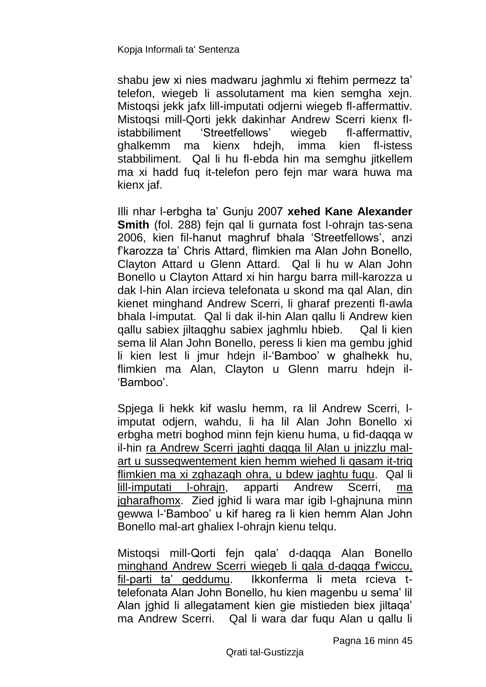shabu jew xi nies madwaru jaghmlu xi ftehim permezz ta' telefon, wiegeb li assolutament ma kien semgha xejn. Mistoqsi jekk jafx lill-imputati odjerni wiegeb fl-affermattiv. Mistoqsi mill-Qorti jekk dakinhar Andrew Scerri kienx flistabbiliment 'Streetfellows' wiegeb fl-affermattiv, ghalkemm ma kienx hdejh, imma kien fl-istess stabbiliment. Qal li hu fl-ebda hin ma semghu jitkellem ma xi hadd fuq it-telefon pero fejn mar wara huwa ma kienx jaf.

Illi nhar l-erbgha ta' Gunju 2007 **xehed Kane Alexander Smith** (fol. 288) fejn qal li gurnata fost l-ohrajn tas-sena 2006, kien fil-hanut maghruf bhala 'Streetfellows', anzi f'karozza ta' Chris Attard, flimkien ma Alan John Bonello, Clayton Attard u Glenn Attard. Qal li hu w Alan John Bonello u Clayton Attard xi hin hargu barra mill-karozza u dak l-hin Alan ircieva telefonata u skond ma qal Alan, din kienet minghand Andrew Scerri, li gharaf prezenti fl-awla bhala l-imputat. Qal li dak il-hin Alan qallu li Andrew kien qallu sabiex jiltaqghu sabiex jaghmlu hbieb. Qal li kien sema lil Alan John Bonello, peress li kien ma gembu jghid li kien lest li jmur hdejn il-'Bamboo' w ghalhekk hu, flimkien ma Alan, Clayton u Glenn marru hdejn il-'Bamboo'.

Spjega li hekk kif waslu hemm, ra lil Andrew Scerri, limputat odjern, wahdu, li ha lil Alan John Bonello xi erbgha metri boghod minn fejn kienu huma, u fid-daqqa w il-hin ra Andrew Scerri jaghti daqqa lil Alan u jnizzlu malart u sussegwentement kien hemm wiehed li qasam it-triq flimkien ma xi zghazagh ohra, u bdew jaghtu fuqu. Qal li lill-imputati l-ohrajn, apparti Andrew Scerri, ma jgharafhomx. Zied jghid li wara mar igib l-ghajnuna minn gewwa l-'Bamboo' u kif hareg ra li kien hemm Alan John Bonello mal-art ghaliex l-ohrajn kienu telqu.

Mistoqsi mill-Qorti fejn qala' d-daqqa Alan Bonello minghand Andrew Scerri wiegeb li qala d-daqqa f'wiccu, fil-parti ta' geddumu. Ikkonferma li meta rcieva ttelefonata Alan John Bonello, hu kien magenbu u sema' lil Alan jghid li allegatament kien gie mistieden biex jiltaqa' ma Andrew Scerri. Qal li wara dar fuqu Alan u qallu li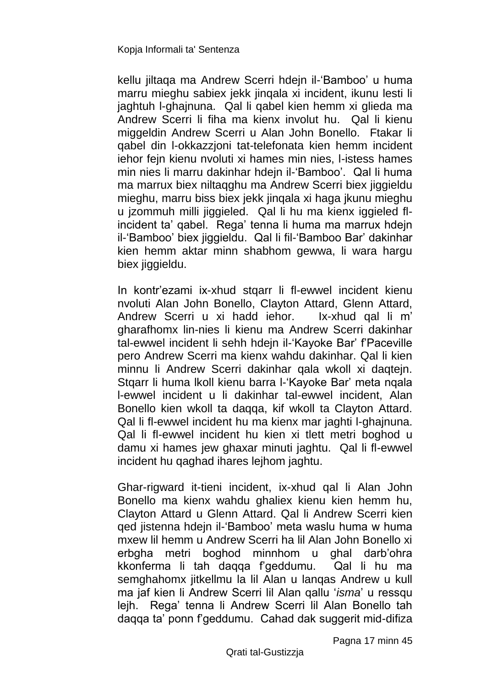kellu jiltaqa ma Andrew Scerri hdejn il-'Bamboo' u huma marru mieghu sabiex jekk jinqala xi incident, ikunu lesti li jaghtuh l-ghajnuna. Qal li qabel kien hemm xi glieda ma Andrew Scerri li fiha ma kienx involut hu. Qal li kienu miggeldin Andrew Scerri u Alan John Bonello. Ftakar li qabel din l-okkazzjoni tat-telefonata kien hemm incident iehor fejn kienu nvoluti xi hames min nies, l-istess hames min nies li marru dakinhar hdejn il-'Bamboo'. Qal li huma ma marrux biex niltaqghu ma Andrew Scerri biex jiggieldu mieghu, marru biss biex jekk jinqala xi haga jkunu mieghu u jzommuh milli jiggieled. Qal li hu ma kienx iggieled flincident ta' qabel. Rega' tenna li huma ma marrux hdejn il-'Bamboo' biex jiggieldu. Qal li fil-'Bamboo Bar' dakinhar kien hemm aktar minn shabhom gewwa, li wara hargu biex jiggieldu.

In kontr'ezami ix-xhud stqarr li fl-ewwel incident kienu nvoluti Alan John Bonello, Clayton Attard, Glenn Attard, Andrew Scerri u xi hadd iehor. Ix-xhud qal li m' gharafhomx lin-nies li kienu ma Andrew Scerri dakinhar tal-ewwel incident li sehh hdejn il-'Kayoke Bar' f'Paceville pero Andrew Scerri ma kienx wahdu dakinhar. Qal li kien minnu li Andrew Scerri dakinhar qala wkoll xi daqtejn. Stgarr li huma lkoll kienu barra I-'Kayoke Bar' meta ngala l-ewwel incident u li dakinhar tal-ewwel incident, Alan Bonello kien wkoll ta daqqa, kif wkoll ta Clayton Attard. Qal li fl-ewwel incident hu ma kienx mar jaghti l-ghajnuna. Qal li fl-ewwel incident hu kien xi tlett metri boghod u damu xi hames jew ghaxar minuti jaghtu. Qal li fl-ewwel incident hu qaghad ihares lejhom jaghtu.

Ghar-rigward it-tieni incident, ix-xhud qal li Alan John Bonello ma kienx wahdu ghaliex kienu kien hemm hu, Clayton Attard u Glenn Attard. Qal li Andrew Scerri kien qed jistenna hdejn il-'Bamboo' meta waslu huma w huma mxew lil hemm u Andrew Scerri ha lil Alan John Bonello xi erbgha metri boghod minnhom u ghal darb'ohra kkonferma li tah daqqa f'geddumu. Qal li hu ma semghahomx jitkellmu la lil Alan u lanqas Andrew u kull ma jaf kien li Andrew Scerri lil Alan qallu '*isma*' u ressqu lejh. Rega' tenna li Andrew Scerri lil Alan Bonello tah daqqa ta' ponn f'geddumu. Cahad dak suggerit mid-difiza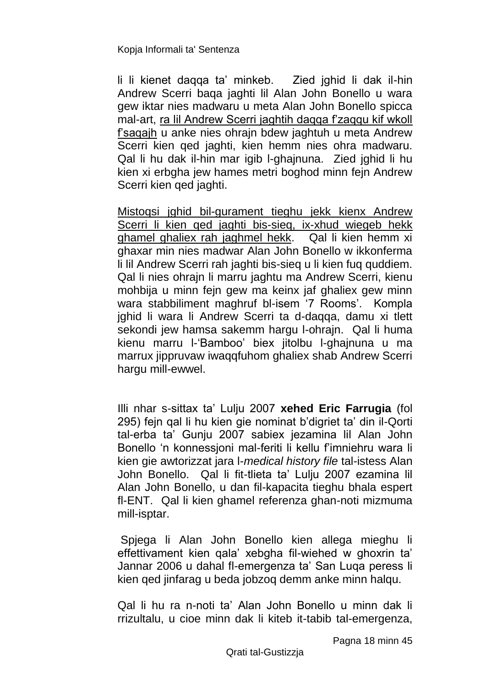li li kienet daqqa ta' minkeb. Zied jghid li dak il-hin Andrew Scerri baqa jaghti lil Alan John Bonello u wara gew iktar nies madwaru u meta Alan John Bonello spicca mal-art, ra lil Andrew Scerri jaghtih daqqa f'zaqqu kif wkoll f'saqajh u anke nies ohrajn bdew jaghtuh u meta Andrew Scerri kien qed jaghti, kien hemm nies ohra madwaru. Qal li hu dak il-hin mar igib l-ghajnuna. Zied jghid li hu kien xi erbgha jew hames metri boghod minn fejn Andrew Scerri kien qed jaghti.

Mistoqsi jghid bil-gurament tieghu jekk kienx Andrew Scerri li kien qed jaghti bis-sieq, ix-xhud wiegeb hekk ghamel ghaliex rah jaghmel hekk. Qal li kien hemm xi ghaxar min nies madwar Alan John Bonello w ikkonferma li lil Andrew Scerri rah jaghti bis-sieq u li kien fuq quddiem. Qal li nies ohrajn li marru jaghtu ma Andrew Scerri, kienu mohbija u minn fejn gew ma keinx jaf ghaliex gew minn wara stabbiliment maghruf bl-isem '7 Rooms'. Kompla ighid li wara li Andrew Scerri ta d-daqqa, damu xi tlett sekondi jew hamsa sakemm hargu l-ohrajn. Qal li huma kienu marru l-'Bamboo' biex jitolbu l-ghajnuna u ma marrux jippruvaw iwaqqfuhom ghaliex shab Andrew Scerri hargu mill-ewwel.

Illi nhar s-sittax ta' Lulju 2007 **xehed Eric Farrugia** (fol 295) fejn qal li hu kien gie nominat b'digriet ta' din il-Qorti tal-erba ta' Gunju 2007 sabiex jezamina lil Alan John Bonello 'n konnessjoni mal-feriti li kellu f'imniehru wara li kien gie awtorizzat jara l-*medical history file* tal-istess Alan John Bonello. Qal li fit-tlieta ta' Lulju 2007 ezamina lil Alan John Bonello, u dan fil-kapacita tieghu bhala espert fl-ENT. Qal li kien ghamel referenza ghan-noti mizmuma mill-isptar.

Spjega li Alan John Bonello kien allega mieghu li effettivament kien qala' xebgha fil-wiehed w ghoxrin ta' Jannar 2006 u dahal fl-emergenza ta' San Luqa peress li kien qed jinfarag u beda jobzoq demm anke minn halqu.

Qal li hu ra n-noti ta' Alan John Bonello u minn dak li rrizultalu, u cioe minn dak li kiteb it-tabib tal-emergenza,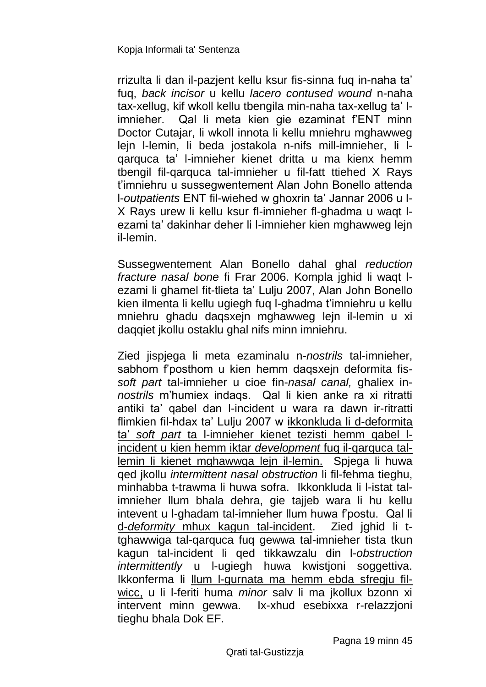rrizulta li dan il-pazjent kellu ksur fis-sinna fuq in-naha ta' fuq, *back incisor* u kellu *lacero contused wound* n-naha tax-xellug, kif wkoll kellu tbengila min-naha tax-xellug ta' limnieher. Qal li meta kien gie ezaminat f'ENT minn Doctor Cutajar, li wkoll innota li kellu mniehru mghawweg lejn l-lemin, li beda jostakola n-nifs mill-imnieher, li lqarquca ta' l-imnieher kienet dritta u ma kienx hemm tbengil fil-qarquca tal-imnieher u fil-fatt ttiehed X Rays t'imniehru u sussegwentement Alan John Bonello attenda l-*outpatients* ENT fil-wiehed w ghoxrin ta' Jannar 2006 u l-X Rays urew li kellu ksur fl-imnieher fl-ghadma u waqt lezami ta' dakinhar deher li l-imnieher kien mghawweg lejn il-lemin.

Sussegwentement Alan Bonello dahal ghal *reduction fracture nasal bone* fi Frar 2006. Kompla jghid li waqt lezami li ghamel fit-tlieta ta' Lulju 2007, Alan John Bonello kien ilmenta li kellu ugiegh fuq l-ghadma t'imniehru u kellu mniehru ghadu daqsxejn mghawweg lejn il-lemin u xi daqqiet jkollu ostaklu ghal nifs minn imniehru.

Zied jispjega li meta ezaminalu n-*nostrils* tal-imnieher, sabhom f'posthom u kien hemm daqsxejn deformita fis*soft part* tal-imnieher u cioe fin-*nasal canal,* ghaliex in*nostrils* m'humiex indaqs. Qal li kien anke ra xi ritratti antiki ta' qabel dan l-incident u wara ra dawn ir-ritratti flimkien fil-hdax ta' Lulju 2007 w ikkonkluda li d-deformita ta' *soft part* ta l-imnieher kienet tezisti hemm qabel lincident u kien hemm iktar *development* fuq il-qarquca tallemin li kienet mghawwga lejn il-lemin. Spjega li huwa qed jkollu *intermittent nasal obstruction* li fil-fehma tieghu, minhabba t-trawma li huwa sofra. Ikkonkluda li l-istat talimnieher llum bhala dehra, gie tajjeb wara li hu kellu intevent u l-ghadam tal-imnieher llum huwa f'postu. Qal li d-*deformity* mhux kagun tal-incident. Zied jghid li ttghawwiga tal-qarquca fuq gewwa tal-imnieher tista tkun kagun tal-incident li qed tikkawzalu din l-*obstruction intermittently* u l-ugiegh huwa kwistjoni soggettiva. Ikkonferma li llum l-gurnata ma hemm ebda sfregju filwicc, u li l-feriti huma *minor* salv li ma jkollux bzonn xi intervent minn gewwa. Ix-xhud esebixxa r-relazzjoni tieghu bhala Dok EF.

Pagna 19 minn 45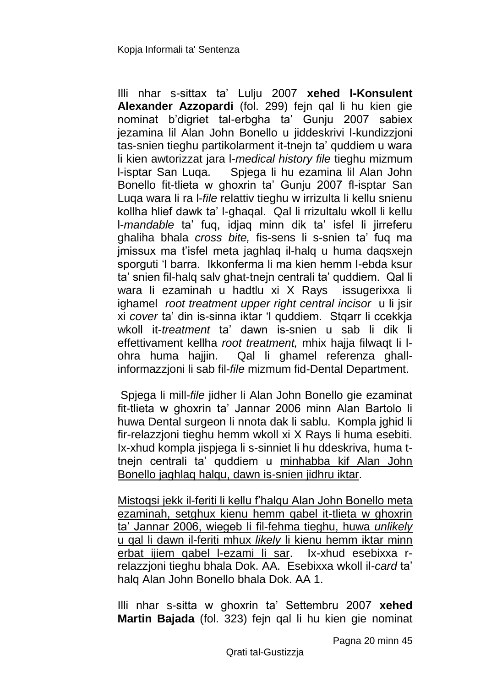Illi nhar s-sittax ta' Lulju 2007 **xehed l-Konsulent Alexander Azzopardi** (fol. 299) fejn qal li hu kien gie nominat b'digriet tal-erbgha ta' Gunju 2007 sabiex jezamina lil Alan John Bonello u jiddeskrivi l-kundizzjoni tas-snien tieghu partikolarment it-tnejn ta' quddiem u wara li kien awtorizzat jara l-*medical history file* tieghu mizmum l-isptar San Luqa. Spjega li hu ezamina lil Alan John Bonello fit-tlieta w ghoxrin ta' Gunju 2007 fl-isptar San Luqa wara li ra l-*file* relattiv tieghu w irrizulta li kellu snienu kollha hlief dawk ta' l-ghaqal. Qal li rrizultalu wkoll li kellu l-*mandable* ta' fuq, idjaq minn dik ta' isfel li jirreferu ghaliha bhala *cross bite,* fis-sens li s-snien ta' fuq ma jmissux ma t'isfel meta jaghlaq il-halq u huma daqsxejn sporguti 'l barra. Ikkonferma li ma kien hemm l-ebda ksur ta' snien fil-halq salv ghat-tnejn centrali ta' quddiem. Qal li wara li ezaminah u hadtlu xi X Rays issugerixxa li ighamel *root treatment upper right central incisor* u li jsir xi *cover* ta' din is-sinna iktar 'l quddiem. Stqarr li ccekkja wkoll it-*treatment* ta' dawn is-snien u sab li dik li effettivament kellha *root treatment,* mhix hajja filwaqt li lohra huma hajjin. Qal li ghamel referenza ghallinformazzjoni li sab fil-*file* mizmum fid-Dental Department.

Spjega li mill-*file* jidher li Alan John Bonello gie ezaminat fit-tlieta w ghoxrin ta' Jannar 2006 minn Alan Bartolo li huwa Dental surgeon li nnota dak li sablu. Kompla jghid li fir-relazzjoni tieghu hemm wkoll xi X Rays li huma esebiti. Ix-xhud kompla jispjega li s-sinniet li hu ddeskriva, huma ttnejn centrali ta' quddiem u minhabba kif Alan John Bonello jaghlaq halqu, dawn is-snien jidhru iktar.

Mistoqsi jekk il-feriti li kellu f'halqu Alan John Bonello meta ezaminah, setghux kienu hemm qabel it-tlieta w ghoxrin ta' Jannar 2006, wiegeb li fil-fehma tieghu, huwa *unlikely* u qal li dawn il-feriti mhux *likely* li kienu hemm iktar minn erbat ijiem qabel l-ezami li sar. Ix-xhud esebixxa rrelazzjoni tieghu bhala Dok. AA. Esebixxa wkoll il-*card* ta' halq Alan John Bonello bhala Dok. AA 1.

Illi nhar s-sitta w ghoxrin ta' Settembru 2007 **xehed Martin Bajada** (fol. 323) fejn qal li hu kien gie nominat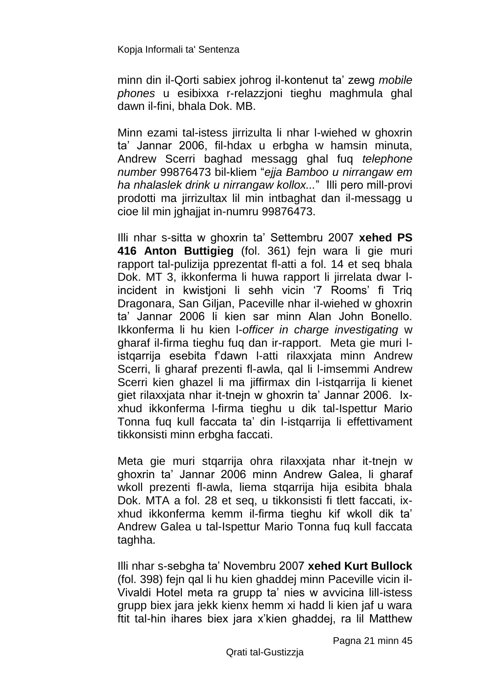minn din il-Qorti sabiex johrog il-kontenut ta' zewg *mobile phones* u esibixxa r-relazzjoni tieghu maghmula ghal dawn il-fini, bhala Dok. MB.

Minn ezami tal-istess jirrizulta li nhar l-wiehed w ghoxrin ta' Jannar 2006, fil-hdax u erbgha w hamsin minuta, Andrew Scerri baghad messagg ghal fuq *telephone number* 99876473 bil-kliem "*ejja Bamboo u nirrangaw em ha nhalaslek drink u nirrangaw kollox...*" Illi pero mill-provi prodotti ma jirrizultax lil min intbaghat dan il-messagg u cioe lil min jghajjat in-numru 99876473.

Illi nhar s-sitta w ghoxrin ta' Settembru 2007 **xehed PS 416 Anton Buttigieg** (fol. 361) fejn wara li gie muri rapport tal-pulizija pprezentat fl-atti a fol. 14 et seq bhala Dok. MT 3, ikkonferma li huwa rapport li jirrelata dwar lincident in kwistjoni li sehh vicin '7 Rooms' fi Triq Dragonara, San Giljan, Paceville nhar il-wiehed w ghoxrin ta' Jannar 2006 li kien sar minn Alan John Bonello. Ikkonferma li hu kien l-*officer in charge investigating* w gharaf il-firma tieghu fuq dan ir-rapport. Meta gie muri listqarrija esebita f'dawn l-atti rilaxxjata minn Andrew Scerri, li gharaf prezenti fl-awla, qal li l-imsemmi Andrew Scerri kien ghazel li ma jiffirmax din l-istgarrija li kienet giet rilaxxjata nhar it-tnejn w ghoxrin ta' Jannar 2006. Ixxhud ikkonferma l-firma tieghu u dik tal-Ispettur Mario Tonna fuq kull faccata ta' din l-istqarrija li effettivament tikkonsisti minn erbgha faccati.

Meta gie muri stqarrija ohra rilaxxjata nhar it-tnejn w ghoxrin ta' Jannar 2006 minn Andrew Galea, li gharaf wkoll prezenti fl-awla, liema stqarrija hija esibita bhala Dok. MTA a fol. 28 et seq, u tikkonsisti fi tlett faccati, ixxhud ikkonferma kemm il-firma tieghu kif wkoll dik ta' Andrew Galea u tal-Ispettur Mario Tonna fuq kull faccata taghha.

Illi nhar s-sebgha ta' Novembru 2007 **xehed Kurt Bullock** (fol. 398) fejn qal li hu kien ghaddej minn Paceville vicin il-Vivaldi Hotel meta ra grupp ta' nies w avvicina lill-istess grupp biex jara jekk kienx hemm xi hadd li kien jaf u wara ftit tal-hin ihares biex jara x'kien ghaddej, ra lil Matthew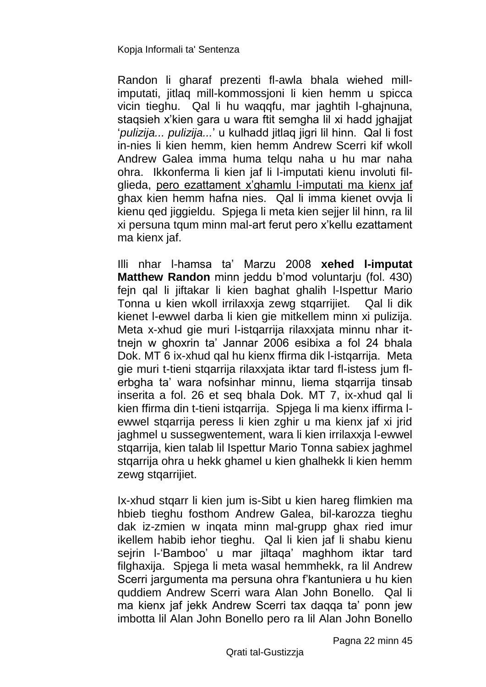Randon li gharaf prezenti fl-awla bhala wiehed millimputati, jitlaq mill-kommossjoni li kien hemm u spicca vicin tieghu. Qal li hu waqqfu, mar jaghtih l-ghajnuna, staqsieh x'kien gara u wara ftit semgha lil xi hadd jghajjat '*pulizija... pulizija...*' u kulhadd jitlaq jigri lil hinn. Qal li fost in-nies li kien hemm, kien hemm Andrew Scerri kif wkoll Andrew Galea imma huma telqu naha u hu mar naha ohra. Ikkonferma li kien jaf li l-imputati kienu involuti filglieda, pero ezattament x'ghamlu l-imputati ma kienx jaf ghax kien hemm hafna nies. Qal li imma kienet ovvja li kienu qed jiggieldu. Spjega li meta kien sejjer lil hinn, ra lil xi persuna tqum minn mal-art ferut pero x'kellu ezattament ma kienx jaf.

Illi nhar l-hamsa ta' Marzu 2008 **xehed l-imputat Matthew Randon** minn jeddu b'mod voluntarju (fol. 430) fejn qal li jiftakar li kien baghat ghalih l-Ispettur Mario Tonna u kien wkoll irrilaxxja zewg stqarrijiet. Qal li dik kienet l-ewwel darba li kien gie mitkellem minn xi pulizija. Meta x-xhud gie muri l-istqarrija rilaxxjata minnu nhar ittnejn w ghoxrin ta' Jannar 2006 esibixa a fol 24 bhala Dok. MT 6 ix-xhud qal hu kienx ffirma dik l-istqarrija. Meta gie muri t-tieni stqarrija rilaxxjata iktar tard fl-istess jum flerbgha ta' wara nofsinhar minnu, liema stqarrija tinsab inserita a fol. 26 et seq bhala Dok. MT 7, ix-xhud qal li kien ffirma din t-tieni istqarrija. Spjega li ma kienx iffirma lewwel stqarrija peress li kien zghir u ma kienx jaf xi jrid jaghmel u sussegwentement, wara li kien irrilaxxja l-ewwel stqarrija, kien talab lil Ispettur Mario Tonna sabiex jaghmel stqarrija ohra u hekk ghamel u kien ghalhekk li kien hemm zewg stqarrijiet.

Ix-xhud stqarr li kien jum is-Sibt u kien hareg flimkien ma hbieb tieghu fosthom Andrew Galea, bil-karozza tieghu dak iz-zmien w inqata minn mal-grupp ghax ried imur ikellem habib iehor tieghu. Qal li kien jaf li shabu kienu sejrin l-'Bamboo' u mar jiltaqa' maghhom iktar tard filghaxija. Spjega li meta wasal hemmhekk, ra lil Andrew Scerri jargumenta ma persuna ohra f'kantuniera u hu kien quddiem Andrew Scerri wara Alan John Bonello. Qal li ma kienx jaf jekk Andrew Scerri tax daqqa ta' ponn jew imbotta lil Alan John Bonello pero ra lil Alan John Bonello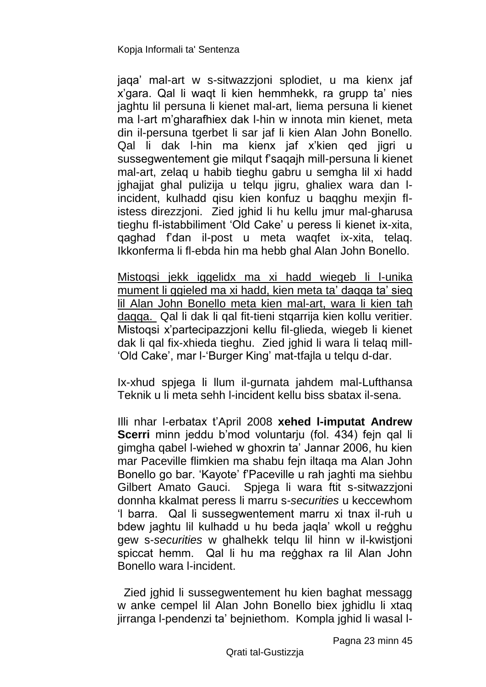jaqa' mal-art w s-sitwazzjoni splodiet, u ma kienx jaf x'gara. Qal li waqt li kien hemmhekk, ra grupp ta' nies jaghtu lil persuna li kienet mal-art, liema persuna li kienet ma l-art m'gharafhiex dak l-hin w innota min kienet, meta din il-persuna tgerbet li sar jaf li kien Alan John Bonello. Qal li dak l-hin ma kienx jaf x'kien qed jigri u sussegwentement gie milqut f'saqajh mill-persuna li kienet mal-art, zelaq u habib tieghu gabru u semgha lil xi hadd jghajjat ghal pulizija u telqu jigru, ghaliex wara dan lincident, kulhadd qisu kien konfuz u baqghu mexjin flistess direzzjoni. Zied jghid li hu kellu jmur mal-gharusa tieghu fl-istabbiliment 'Old Cake' u peress li kienet ix-xita, qaghad f'dan il-post u meta waqfet ix-xita, telaq. Ikkonferma li fl-ebda hin ma hebb ghal Alan John Bonello.

Mistoqsi jekk iggelidx ma xi hadd wiegeb li l-unika mument li ggieled ma xi hadd, kien meta ta' daqqa ta' sieq lil Alan John Bonello meta kien mal-art, wara li kien tah daqqa. Qal li dak li qal fit-tieni stqarrija kien kollu veritier. Mistoqsi x'partecipazzjoni kellu fil-glieda, wiegeb li kienet dak li qal fix-xhieda tieghu. Zied jghid li wara li telaq mill- 'Old Cake', mar l-'Burger King' mat-tfajla u telqu d-dar.

Ix-xhud spjega li llum il-gurnata jahdem mal-Lufthansa Teknik u li meta sehh l-incident kellu biss sbatax il-sena.

Illi nhar l-erbatax t'April 2008 **xehed l-imputat Andrew Scerri** minn jeddu b'mod voluntarju (fol. 434) fejn qal li gimgha qabel l-wiehed w ghoxrin ta' Jannar 2006, hu kien mar Paceville flimkien ma shabu fejn iltaqa ma Alan John Bonello go bar. 'Kayote' f'Paceville u rah jaghti ma siehbu Gilbert Amato Gauci. Spjega li wara ftit s-sitwazzjoni donnha kkalmat peress li marru s-*securities* u keccewhom 'l barra. Qal li sussegwentement marru xi tnax il-ruh u bdew jaghtu lil kulhadd u hu beda jaqla' wkoll u reġghu gew s-*securities* w ghalhekk telqu lil hinn w il-kwistjoni spiccat hemm. Qal li hu ma reġghax ra lil Alan John Bonello wara l-incident.

 Zied jghid li sussegwentement hu kien baghat messagg w anke cempel lil Alan John Bonello biex jghidlu li xtaq jirranga l-pendenzi ta' bejniethom. Kompla jghid li wasal l-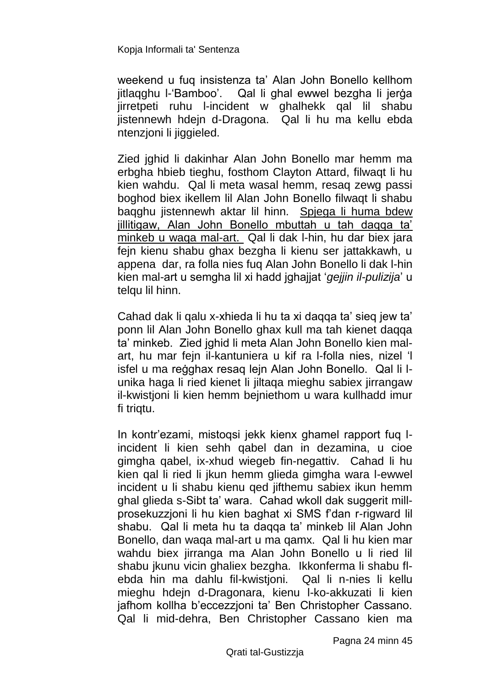weekend u fuq insistenza ta' Alan John Bonello kellhom jitlaqghu l-'Bamboo'. Qal li ghal ewwel bezgha li jerġa jirretpeti ruhu l-incident w ghalhekk qal lil shabu jistennewh hdejn d-Dragona. Qal li hu ma kellu ebda ntenzioni li jiggieled.

Zied jghid li dakinhar Alan John Bonello mar hemm ma erbgha hbieb tieghu, fosthom Clayton Attard, filwaqt li hu kien wahdu. Qal li meta wasal hemm, resaq zewg passi boghod biex ikellem lil Alan John Bonello filwaqt li shabu baqghu jistennewh aktar lil hinn. Spjega li huma bdew jillitigaw, Alan John Bonello mbuttah u tah daqqa ta' minkeb u waqa mal-art. Qal li dak l-hin, hu dar biex jara fejn kienu shabu ghax bezgha li kienu ser jattakkawh, u appena dar, ra folla nies fuq Alan John Bonello li dak l-hin kien mal-art u semgha lil xi hadd jghajjat '*gejjin il-pulizija*' u telqu lil hinn.

Cahad dak li qalu x-xhieda li hu ta xi daqqa ta' sieq jew ta' ponn lil Alan John Bonello ghax kull ma tah kienet daqqa ta' minkeb. Zied jghid li meta Alan John Bonello kien malart, hu mar fejn il-kantuniera u kif ra l-folla nies, nizel 'l isfel u ma reġghax resaq lejn Alan John Bonello. Qal li lunika haga li ried kienet li jiltaqa mieghu sabiex jirrangaw il-kwistjoni li kien hemm bejniethom u wara kullhadd imur fi trigtu.

In kontr'ezami, mistoqsi jekk kienx ghamel rapport fuq lincident li kien sehh qabel dan in dezamina, u cioe gimgha qabel, ix-xhud wiegeb fin-negattiv. Cahad li hu kien qal li ried li jkun hemm glieda gimgha wara l-ewwel incident u li shabu kienu qed jifthemu sabiex ikun hemm ghal glieda s-Sibt ta' wara. Cahad wkoll dak suggerit millprosekuzzjoni li hu kien baghat xi SMS f'dan r-rigward lil shabu. Qal li meta hu ta daqqa ta' minkeb lil Alan John Bonello, dan waqa mal-art u ma qamx. Qal li hu kien mar wahdu biex jirranga ma Alan John Bonello u li ried lil shabu jkunu vicin ghaliex bezgha. Ikkonferma li shabu flebda hin ma dahlu fil-kwistjoni. Qal li n-nies li kellu mieghu hdejn d-Dragonara, kienu l-ko-akkuzati li kien jafhom kollha b'eccezzjoni ta' Ben Christopher Cassano. Qal li mid-dehra, Ben Christopher Cassano kien ma

Pagna 24 minn 45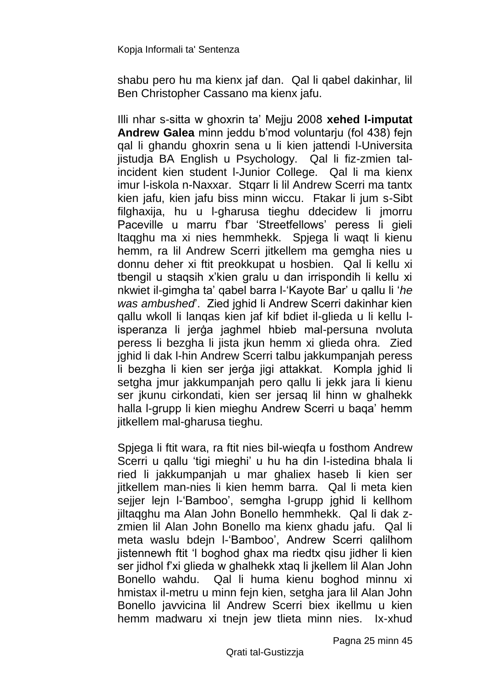shabu pero hu ma kienx jaf dan. Qal li qabel dakinhar, lil Ben Christopher Cassano ma kienx jafu.

Illi nhar s-sitta w ghoxrin ta' Mejju 2008 **xehed l-imputat Andrew Galea** minn jeddu b'mod voluntarju (fol 438) fejn qal li ghandu ghoxrin sena u li kien jattendi l-Universita jistudja BA English u Psychology. Qal li fiz-zmien talincident kien student l-Junior College. Qal li ma kienx imur l-iskola n-Naxxar. Stqarr li lil Andrew Scerri ma tantx kien jafu, kien jafu biss minn wiccu. Ftakar li jum s-Sibt filghaxija, hu u l-gharusa tieghu ddecidew li jmorru Paceville u marru f'bar 'Streetfellows' peress li gieli ltaqghu ma xi nies hemmhekk. Spjega li waqt li kienu hemm, ra lil Andrew Scerri jitkellem ma gemgha nies u donnu deher xi ftit preokkupat u hosbien. Qal li kellu xi tbengil u staqsih x'kien gralu u dan irrispondih li kellu xi nkwiet il-gimgha ta' qabel barra l-'Kayote Bar' u qallu li '*he was ambushed*'. Zied jghid li Andrew Scerri dakinhar kien qallu wkoll li lanqas kien jaf kif bdiet il-glieda u li kellu lisperanza li jerġa jaghmel hbieb mal-persuna nvoluta peress li bezgha li jista jkun hemm xi glieda ohra. Zied jghid li dak l-hin Andrew Scerri talbu jakkumpanjah peress li bezgha li kien ser jerġa jigi attakkat. Kompla jghid li setgha jmur jakkumpanjah pero qallu li jekk jara li kienu ser jkunu cirkondati, kien ser jersaq lil hinn w ghalhekk halla l-grupp li kien mieghu Andrew Scerri u baqa' hemm jitkellem mal-gharusa tieghu.

Spjega li ftit wara, ra ftit nies bil-wieqfa u fosthom Andrew Scerri u qallu 'tigi mieghi' u hu ha din l-istedina bhala li ried li jakkumpanjah u mar ghaliex haseb li kien ser jitkellem man-nies li kien hemm barra. Qal li meta kien sejjer lejn l-'Bamboo', semgha l-grupp jghid li kellhom jiltaqghu ma Alan John Bonello hemmhekk. Qal li dak zzmien lil Alan John Bonello ma kienx ghadu jafu. Qal li meta waslu bdejn l-'Bamboo', Andrew Scerri qalilhom jistennewh ftit 'l boghod ghax ma riedtx qisu jidher li kien ser jidhol f'xi glieda w ghalhekk xtaq li jkellem lil Alan John Bonello wahdu. Qal li huma kienu boghod minnu xi hmistax il-metru u minn fejn kien, setgha jara lil Alan John Bonello javvicina lil Andrew Scerri biex ikellmu u kien hemm madwaru xi tnejn jew tlieta minn nies. Ix-xhud

Pagna 25 minn 45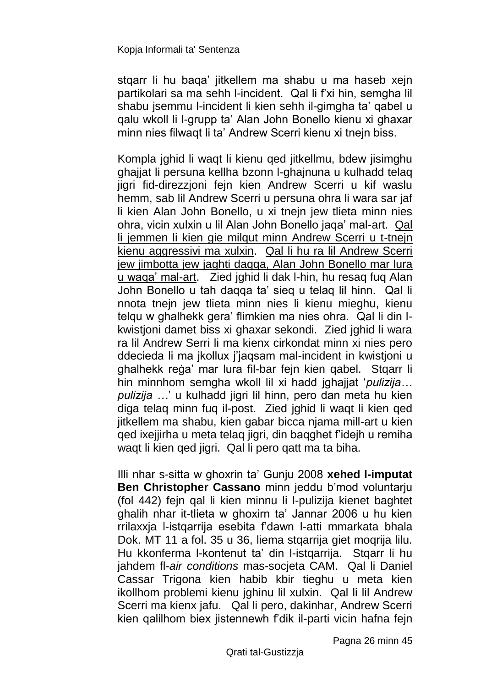stqarr li hu baqa' jitkellem ma shabu u ma haseb xejn partikolari sa ma sehh l-incident. Qal li f'xi hin, semgha lil shabu isemmu l-incident li kien sehh il-gimgha ta' gabel u qalu wkoll li l-grupp ta' Alan John Bonello kienu xi ghaxar minn nies filwaqt li ta' Andrew Scerri kienu xi tnejn biss.

Kompla jghid li waqt li kienu qed jitkellmu, bdew jisimghu ghajjat li persuna kellha bzonn l-ghajnuna u kulhadd telaq jigri fid-direzzjoni fejn kien Andrew Scerri u kif waslu hemm, sab lil Andrew Scerri u persuna ohra li wara sar jaf li kien Alan John Bonello, u xi tnejn jew tlieta minn nies ohra, vicin xulxin u lil Alan John Bonello jaqa' mal-art. Qal li jemmen li kien gie milqut minn Andrew Scerri u t-tnejn kienu aggressivi ma xulxin. Qal li hu ra lil Andrew Scerri jew jimbotta jew jaghti daqqa, Alan John Bonello mar lura u waqa' mal-art. Zied jghid li dak l-hin, hu resaq fuq Alan John Bonello u tah daqqa ta' sieq u telaq lil hinn. Qal li nnota tnejn jew tlieta minn nies li kienu mieghu, kienu telqu w ghalhekk gera' flimkien ma nies ohra. Qal li din lkwistjoni damet biss xi ghaxar sekondi. Zied jghid li wara ra lil Andrew Serri li ma kienx cirkondat minn xi nies pero ddecieda li ma jkollux j'jaqsam mal-incident in kwistjoni u ghalhekk reġa' mar lura fil-bar fejn kien qabel. Stqarr li hin minnhom semgha wkoll lil xi hadd jghajjat '*pulizija... pulizija …*' u kulhadd jigri lil hinn, pero dan meta hu kien diga telag minn fug il-post. Zied jghid li wagt li kien ged jitkellem ma shabu, kien gabar bicca njama mill-art u kien qed ixejjirha u meta telaq jigri, din baqghet f'idejh u remiha waqt li kien qed jigri. Qal li pero qatt ma ta biha.

Illi nhar s-sitta w ghoxrin ta' Gunju 2008 **xehed l-imputat Ben Christopher Cassano** minn jeddu b'mod voluntarju (fol 442) fejn qal li kien minnu li l-pulizija kienet baghtet ghalih nhar it-tlieta w ghoxirn ta' Jannar 2006 u hu kien rrilaxxja l-istqarrija esebita f'dawn l-atti mmarkata bhala Dok. MT 11 a fol. 35 u 36, liema stqarrija giet moqrija lilu. Hu kkonferma l-kontenut ta' din l-istqarrija. Stqarr li hu jahdem fl-*air conditions* mas-socjeta CAM. Qal li Daniel Cassar Trigona kien habib kbir tieghu u meta kien ikollhom problemi kienu jghinu lil xulxin. Qal li lil Andrew Scerri ma kienx jafu. Qal li pero, dakinhar, Andrew Scerri kien qalilhom biex jistennewh f'dik il-parti vicin hafna fejn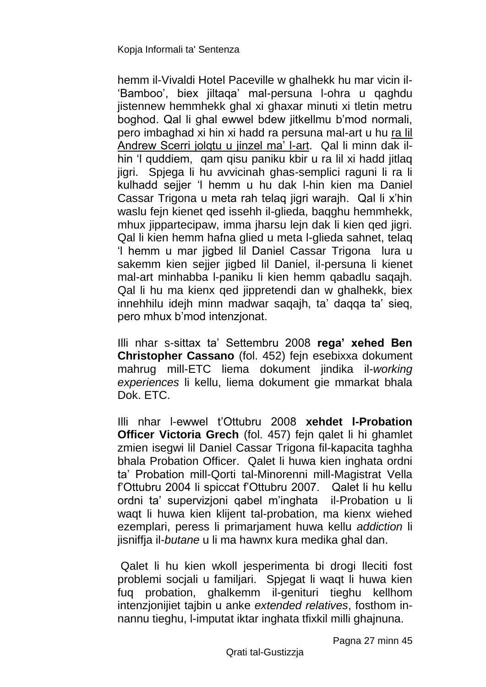hemm il-Vivaldi Hotel Paceville w ghalhekk hu mar vicin il- 'Bamboo', biex jiltaqa' mal-persuna l-ohra u qaghdu jistennew hemmhekk ghal xi ghaxar minuti xi tletin metru boghod. Qal li ghal ewwel bdew jitkellmu b'mod normali, pero imbaghad xi hin xi hadd ra persuna mal-art u hu ra lil Andrew Scerri jolqtu u jinzel ma' l-art. Qal li minn dak ilhin 'l quddiem, qam qisu paniku kbir u ra lil xi hadd jitlaq jigri. Spjega li hu avvicinah ghas-semplici raguni li ra li kulhadd sejjer 'l hemm u hu dak l-hin kien ma Daniel Cassar Trigona u meta rah telaq jigri warajh. Qal li x'hin waslu fejn kienet qed issehh il-glieda, baqghu hemmhekk, mhux jippartecipaw, imma jharsu lejn dak li kien qed jigri. Qal li kien hemm hafna glied u meta l-glieda sahnet, telaq 'l hemm u mar jigbed lil Daniel Cassar Trigona lura u sakemm kien sejjer jigbed lil Daniel, il-persuna li kienet mal-art minhabba l-paniku li kien hemm qabadlu saqajh. Qal li hu ma kienx qed jippretendi dan w ghalhekk, biex innehhilu idejh minn madwar saqajh, ta' daqqa ta' sieq, pero mhux b'mod intenzjonat.

Illi nhar s-sittax ta' Settembru 2008 **rega' xehed Ben Christopher Cassano** (fol. 452) fejn esebixxa dokument mahrug mill-ETC liema dokument jindika il-*working experiences* li kellu, liema dokument gie mmarkat bhala Dok. ETC.

Illi nhar l-ewwel t'Ottubru 2008 **xehdet l-Probation Officer Victoria Grech** (fol. 457) fejn qalet li hi ghamlet zmien isegwi lil Daniel Cassar Trigona fil-kapacita taghha bhala Probation Officer. Qalet li huwa kien inghata ordni ta' Probation mill-Qorti tal-Minorenni mill-Magistrat Vella f'Ottubru 2004 li spiccat f'Ottubru 2007. Qalet li hu kellu ordni ta' supervizjoni qabel m'inghata il-Probation u li waqt li huwa kien klijent tal-probation, ma kienx wiehed ezemplari, peress li primarjament huwa kellu *addiction* li jisniffja il-*butane* u li ma hawnx kura medika ghal dan.

Qalet li hu kien wkoll jesperimenta bi drogi lleciti fost problemi socjali u familjari. Spjegat li waqt li huwa kien fuq probation, ghalkemm il-genituri tieghu kellhom intenzjonijiet tajbin u anke *extended relatives*, fosthom innannu tieghu, l-imputat iktar inghata tfixkil milli ghajnuna.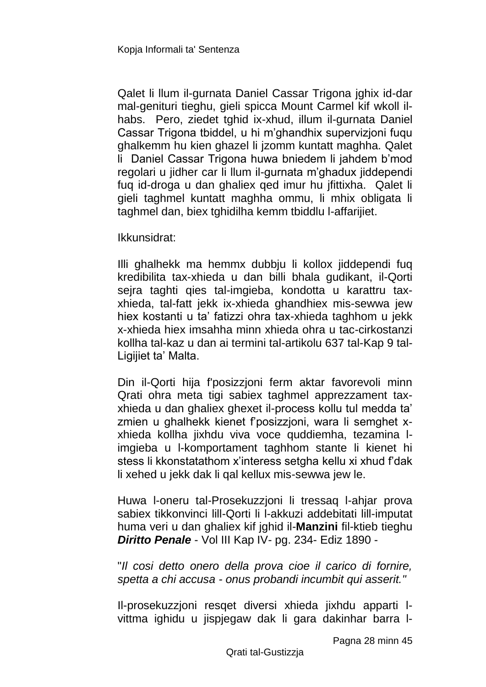Qalet li llum il-gurnata Daniel Cassar Trigona jghix id-dar mal-genituri tieghu, gieli spicca Mount Carmel kif wkoll ilhabs. Pero, ziedet tghid ix-xhud, illum il-gurnata Daniel Cassar Trigona tbiddel, u hi m'ghandhix supervizjoni fuqu ghalkemm hu kien ghazel li jzomm kuntatt maghha. Qalet li Daniel Cassar Trigona huwa bniedem li jahdem b'mod regolari u jidher car li llum il-gurnata m'ghadux jiddependi fuq id-droga u dan ghaliex qed imur hu jfittixha. Qalet li gieli taghmel kuntatt maghha ommu, li mhix obligata li taghmel dan, biex tghidilha kemm tbiddlu l-affarijiet.

Ikkunsidrat:

Illi ghalhekk ma hemmx dubbju li kollox jiddependi fuq kredibilita tax-xhieda u dan billi bhala gudikant, il-Qorti sejra taghti qies tal-imgieba, kondotta u karattru taxxhieda, tal-fatt jekk ix-xhieda ghandhiex mis-sewwa jew hiex kostanti u ta' fatizzi ohra tax-xhieda taghhom u jekk x-xhieda hiex imsahha minn xhieda ohra u tac-cirkostanzi kollha tal-kaz u dan ai termini tal-artikolu 637 tal-Kap 9 tal-Ligijiet ta' Malta.

Din il-Qorti hija f'posizzjoni ferm aktar favorevoli minn Qrati ohra meta tigi sabiex taghmel apprezzament taxxhieda u dan ghaliex ghexet il-process kollu tul medda ta' zmien u ghalhekk kienet f'posizzjoni, wara li semghet xxhieda kollha jixhdu viva voce quddiemha, tezamina limgieba u l-komportament taghhom stante li kienet hi stess li kkonstatathom x'interess setgha kellu xi xhud f'dak li xehed u jekk dak li qal kellux mis-sewwa jew le.

Huwa l-oneru tal-Prosekuzzjoni li tressaq l-ahjar prova sabiex tikkonvinci lill-Qorti li l-akkuzi addebitati lill-imputat huma veri u dan ghaliex kif jghid il-**Manzini** fil-ktieb tieghu *Diritto Penale* - Vol III Kap IV- pg. 234- Ediz 1890 -

"*Il cosi detto onero della prova cioe il carico di fornire, spetta a chi accusa - onus probandi incumbit qui asserit."*

Il-prosekuzzjoni resqet diversi xhieda jixhdu apparti lvittma ighidu u jispjegaw dak li gara dakinhar barra l-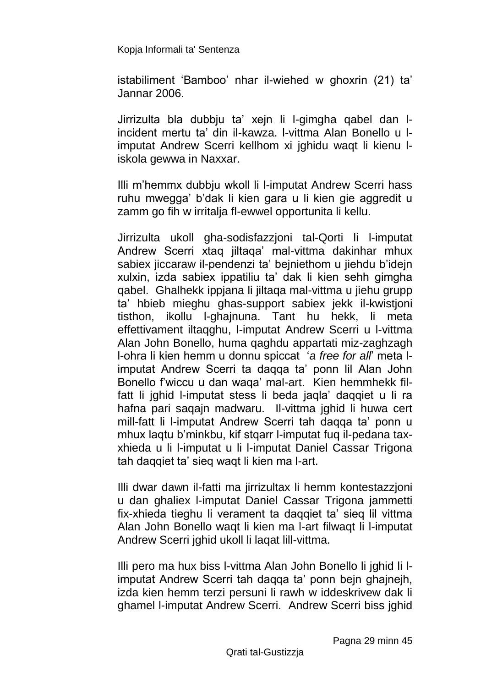istabiliment 'Bamboo' nhar il-wiehed w ghoxrin (21) ta' Jannar 2006.

Jirrizulta bla dubbju ta' xejn li l-gimgha qabel dan lincident mertu ta' din il-kawza. l-vittma Alan Bonello u limputat Andrew Scerri kellhom xi jghidu waqt li kienu liskola gewwa in Naxxar.

Illi m'hemmx dubbju wkoll li l-imputat Andrew Scerri hass ruhu mwegga' b'dak li kien gara u li kien gie aggredit u zamm go fih w irritalja fl-ewwel opportunita li kellu.

Jirrizulta ukoll gha-sodisfazzjoni tal-Qorti li l-imputat Andrew Scerri xtaq jiltaqa' mal-vittma dakinhar mhux sabiex jiccaraw il-pendenzi ta' bejniethom u jiehdu b'idejn xulxin, izda sabiex ippatiliu ta' dak li kien sehh gimgha qabel. Ghalhekk ippjana li jiltaqa mal-vittma u jiehu grupp ta' hbieb mieghu ghas-support sabiex jekk il-kwistjoni tisthon, ikollu l-ghajnuna. Tant hu hekk, li meta effettivament iltaqghu, l-imputat Andrew Scerri u l-vittma Alan John Bonello, huma qaghdu appartati miz-zaghzagh l-ohra li kien hemm u donnu spiccat '*a free for all*' meta limputat Andrew Scerri ta daqqa ta' ponn lil Alan John Bonello f'wiccu u dan waqa' mal-art. Kien hemmhekk filfatt li jghid l-imputat stess li beda jaqla' daqqiet u li ra hafna pari sagain madwaru. Il-vittma jghid li huwa cert mill-fatt li l-imputat Andrew Scerri tah daqqa ta' ponn u mhux laqtu b'minkbu, kif stqarr l-imputat fuq il-pedana taxxhieda u li l-imputat u li l-imputat Daniel Cassar Trigona tah daqqiet ta' sieq waqt li kien ma l-art.

Illi dwar dawn il-fatti ma jirrizultax li hemm kontestazzjoni u dan ghaliex l-imputat Daniel Cassar Trigona jammetti fix-xhieda tieghu li verament ta daqqiet ta' sieq lil vittma Alan John Bonello waqt li kien ma l-art filwaqt li l-imputat Andrew Scerri jghid ukoll li laqat lill-vittma.

Illi pero ma hux biss l-vittma Alan John Bonello li jghid li limputat Andrew Scerri tah daqqa ta' ponn bejn ghajnejh, izda kien hemm terzi persuni li rawh w iddeskrivew dak li ghamel l-imputat Andrew Scerri. Andrew Scerri biss jghid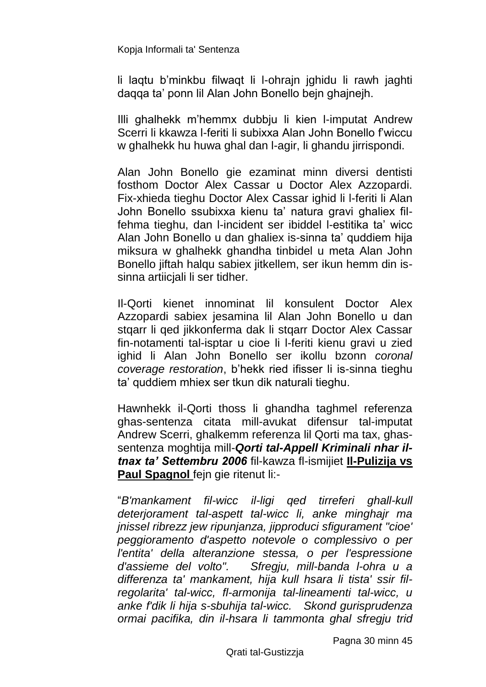li laqtu b'minkbu filwaqt li l-ohrajn jghidu li rawh jaghti daqqa ta' ponn lil Alan John Bonello bejn ghajnejh.

Illi ghalhekk m'hemmx dubbju li kien l-imputat Andrew Scerri li kkawza l-feriti li subixxa Alan John Bonello f'wiccu w ghalhekk hu huwa ghal dan l-agir, li ghandu jirrispondi.

Alan John Bonello gie ezaminat minn diversi dentisti fosthom Doctor Alex Cassar u Doctor Alex Azzopardi. Fix-xhieda tieghu Doctor Alex Cassar ighid li l-feriti li Alan John Bonello ssubixxa kienu ta' natura gravi ghaliex filfehma tieghu, dan l-incident ser ibiddel l-estitika ta' wicc Alan John Bonello u dan ghaliex is-sinna ta' quddiem hija miksura w ghalhekk ghandha tinbidel u meta Alan John Bonello jiftah halqu sabiex jitkellem, ser ikun hemm din issinna artiicjali li ser tidher.

Il-Qorti kienet innominat lil konsulent Doctor Alex Azzopardi sabiex jesamina lil Alan John Bonello u dan stqarr li qed jikkonferma dak li stqarr Doctor Alex Cassar fin-notamenti tal-isptar u cioe li l-feriti kienu gravi u zied ighid li Alan John Bonello ser ikollu bzonn *coronal coverage restoration*, b'hekk ried ifisser li is-sinna tieghu ta' quddiem mhiex ser tkun dik naturali tieghu.

Hawnhekk il-Qorti thoss li ghandha taghmel referenza ghas-sentenza citata mill-avukat difensur tal-imputat Andrew Scerri, ghalkemm referenza lil Qorti ma tax, ghassentenza moghtija mill-*Qorti tal-Appell Kriminali nhar iltnax ta' Settembru 2006* fil-kawza fl-ismijiet **Il-Pulizija vs Paul Spagnol** fejn gie ritenut li:-

"*B'mankament fil-wicc il-ligi qed tirreferi ghall-kull deterjorament tal-aspett tal-wicc li, anke minghajr ma jnissel ribrezz jew ripunjanza, jipproduci sfigurament "cioe' peggioramento d'aspetto notevole o complessivo o per l'entita' della alteranzione stessa, o per l'espressione d'assieme del volto". Sfregju, mill-banda l-ohra u a differenza ta' mankament, hija kull hsara li tista' ssir filregolarita' tal-wicc, fl-armonija tal-lineamenti tal-wicc, u anke f'dik li hija s-sbuhija tal-wicc. Skond gurisprudenza ormai pacifika, din il-hsara li tammonta ghal sfregju trid* 

Pagna 30 minn 45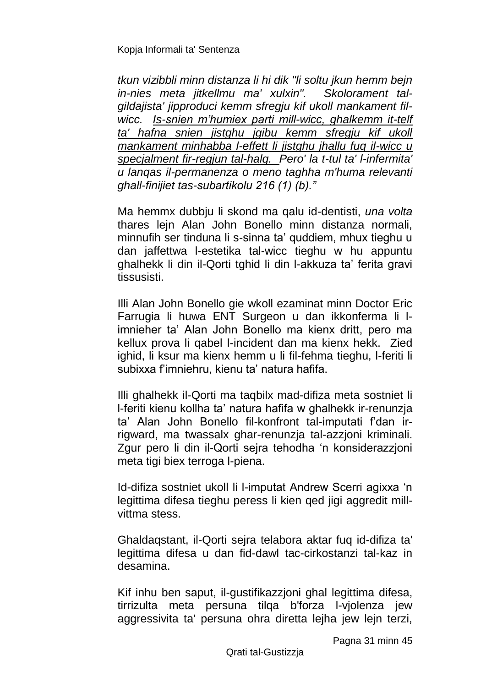*tkun vizibbli minn distanza li hi dik "li soltu jkun hemm bejn in-nies meta jitkellmu ma' xulxin". Skolorament talgildajista' jipproduci kemm sfregju kif ukoll mankament filwicc. Is-snien m'humiex parti mill-wicc, ghalkemm it-telf ta' hafna snien jistghu jgibu kemm sfregju kif ukoll mankament minhabba l-effett li jistghu jhallu fuq il-wicc u specjalment fir-regjun tal-halq. Pero' la t-tul ta' l-infermita' u lanqas il-permanenza o meno taghha m'huma relevanti ghall-finijiet tas-subartikolu 216 (1) (b)."*

Ma hemmx dubbju li skond ma qalu id-dentisti, *una volta* thares lejn Alan John Bonello minn distanza normali, minnufih ser tinduna li s-sinna ta' quddiem, mhux tieghu u dan jaffettwa l-estetika tal-wicc tieghu w hu appuntu ghalhekk li din il-Qorti tghid li din l-akkuza ta' ferita gravi tissusisti.

Illi Alan John Bonello gie wkoll ezaminat minn Doctor Eric Farrugia li huwa ENT Surgeon u dan ikkonferma li limnieher ta' Alan John Bonello ma kienx dritt, pero ma kellux prova li qabel l-incident dan ma kienx hekk. Zied ighid, li ksur ma kienx hemm u li fil-fehma tieghu, l-feriti li subixxa f'imniehru, kienu ta' natura hafifa.

Illi ghalhekk il-Qorti ma taqbilx mad-difiza meta sostniet li l-feriti kienu kollha ta' natura hafifa w ghalhekk ir-renunzja ta' Alan John Bonello fil-konfront tal-imputati f'dan irrigward, ma twassalx ghar-renunzja tal-azzjoni kriminali. Zgur pero li din il-Qorti sejra tehodha 'n konsiderazzjoni meta tigi biex terroga l-piena.

Id-difiza sostniet ukoll li l-imputat Andrew Scerri agixxa 'n legittima difesa tieghu peress li kien qed jigi aggredit millvittma stess.

Ghaldaqstant, il-Qorti sejra telabora aktar fuq id-difiza ta' legittima difesa u dan fid-dawl tac-cirkostanzi tal-kaz in desamina.

Kif inhu ben saput, il-gustifikazzjoni ghal legittima difesa, tirrizulta meta persuna tilqa b'forza l-vjolenza jew aggressivita ta' persuna ohra diretta lejha jew lejn terzi,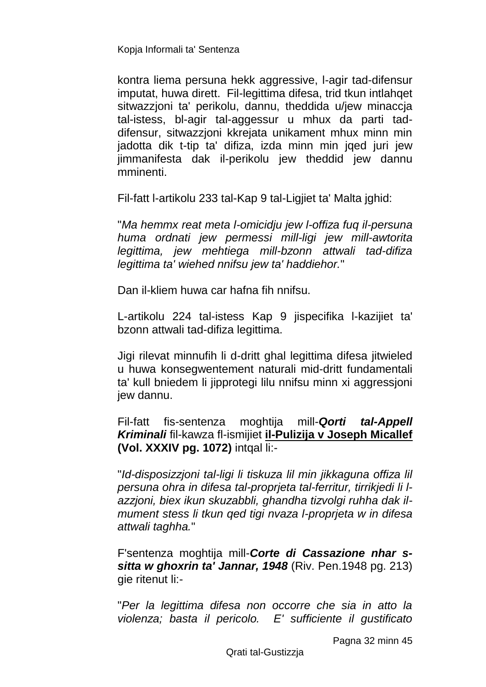kontra liema persuna hekk aggressive, l-agir tad-difensur imputat, huwa dirett. Fil-legittima difesa, trid tkun intlahqet sitwazzioni ta' perikolu, dannu, theddida u/jew minaccia tal-istess, bl-agir tal-aggessur u mhux da parti taddifensur, sitwazzjoni kkrejata unikament mhux minn min jadotta dik t-tip ta' difiza, izda minn min jqed juri jew jimmanifesta dak il-perikolu jew theddid jew dannu mminenti.

Fil-fatt l-artikolu 233 tal-Kap 9 tal-Ligjiet ta' Malta jghid:

"*Ma hemmx reat meta l-omicidju jew l-offiza fuq il-persuna huma ordnati jew permessi mill-ligi jew mill-awtorita legittima, jew mehtiega mill-bzonn attwali tad-difiza legittima ta' wiehed nnifsu jew ta' haddiehor.*"

Dan il-kliem huwa car hafna fih nnifsu.

L-artikolu 224 tal-istess Kap 9 jispecifika l-kazijiet ta' bzonn attwali tad-difiza legittima.

Jigi rilevat minnufih li d-dritt ghal legittima difesa jitwieled u huwa konsegwentement naturali mid-dritt fundamentali ta' kull bniedem li jipprotegi lilu nnifsu minn xi aggressjoni jew dannu.

Fil-fatt fis-sentenza moghtija mill-*Qorti tal-Appell Kriminali* fil-kawza fl-ismijiet **il-Pulizija v Joseph Micallef (Vol. XXXIV pg. 1072)** intqal li:-

"*Id-disposizzjoni tal-ligi li tiskuza lil min jikkaguna offiza lil persuna ohra in difesa tal-proprjeta tal-ferritur, tirrikjedi li lazzjoni, biex ikun skuzabbli, ghandha tizvolgi ruhha dak ilmument stess li tkun qed tigi nvaza l-proprjeta w in difesa attwali taghha.*"

F'sentenza moghtija mill-*Corte di Cassazione nhar ssitta w ghoxrin ta' Jannar, 1948* (Riv. Pen.1948 pg. 213) gie ritenut li:-

"*Per la legittima difesa non occorre che sia in atto la violenza; basta il pericolo. E' sufficiente il gustificato*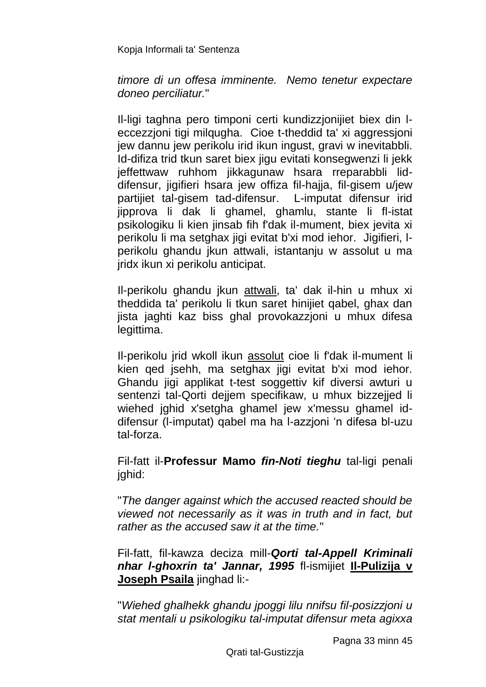#### *timore di un offesa imminente. Nemo tenetur expectare doneo perciliatur.*"

Il-ligi taghna pero timponi certi kundizzjonijiet biex din leccezzioni tigi milgugha. Cioe t-theddid ta' xi aggressioni jew dannu jew perikolu irid ikun ingust, gravi w inevitabbli. Id-difiza trid tkun saret biex jigu evitati konsegwenzi li jekk jeffettwaw ruhhom jikkagunaw hsara rreparabbli liddifensur, jigifieri hsara jew offiza fil-hajja, fil-gisem u/jew partijiet tal-gisem tad-difensur. L-imputat difensur irid jipprova li dak li ghamel, ghamlu, stante li fl-istat psikologiku li kien jinsab fih f'dak il-mument, biex jevita xi perikolu li ma setghax jigi evitat b'xi mod iehor. Jigifieri, lperikolu ghandu jkun attwali, istantanju w assolut u ma jridx ikun xi perikolu anticipat.

Il-perikolu ghandu jkun attwali, ta' dak il-hin u mhux xi theddida ta' perikolu li tkun saret hinijiet qabel, ghax dan jista jaghti kaz biss ghal provokazzjoni u mhux difesa legittima.

Il-perikolu jrid wkoll ikun assolut cioe li f'dak il-mument li kien qed jsehh, ma setghax jigi evitat b'xi mod iehor. Ghandu jigi applikat t-test soggettiv kif diversi awturi u sentenzi tal-Qorti dejjem specifikaw, u mhux bizzejjed li wiehed jahid x'setaha ghamel jew x'messu ghamel iddifensur (l-imputat) qabel ma ha l-azzjoni 'n difesa bl-uzu tal-forza.

Fil-fatt il-**Professur Mamo** *fin-Noti tieghu* tal-ligi penali jghid:

"*The danger against which the accused reacted should be viewed not necessarily as it was in truth and in fact, but rather as the accused saw it at the time.*"

Fil-fatt, fil-kawza deciza mill-*Qorti tal-Appell Kriminali nhar l-ghoxrin ta' Jannar, 1995* fl-ismijiet **Il-Pulizija v Joseph Psaila** jinghad li:-

"*Wiehed ghalhekk ghandu jpoggi lilu nnifsu fil-posizzjoni u stat mentali u psikologiku tal-imputat difensur meta agixxa*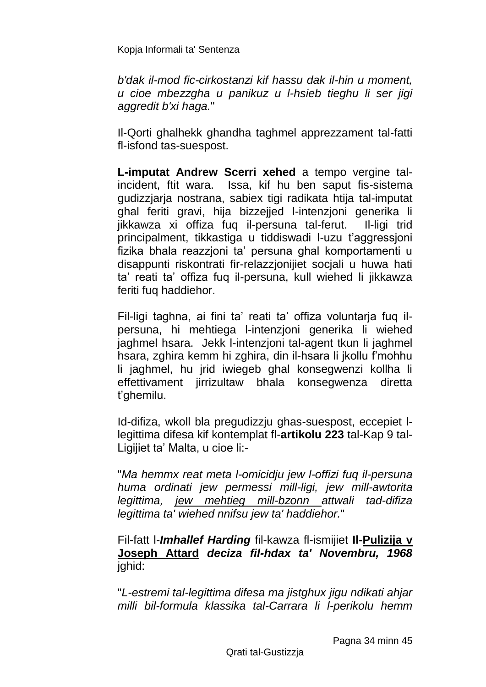*b'dak il-mod fic-cirkostanzi kif hassu dak il-hin u moment, u cioe mbezzgha u panikuz u l-hsieb tieghu li ser jigi aggredit b'xi haga.*"

Il-Qorti ghalhekk ghandha taghmel apprezzament tal-fatti fl-isfond tas-suespost.

**L-imputat Andrew Scerri xehed** a tempo vergine talincident, ftit wara. Issa, kif hu ben saput fis-sistema gudizzjarja nostrana, sabiex tigi radikata htija tal-imputat ghal feriti gravi, hija bizzejjed l-intenzjoni generika li jikkawza xi offiza fuq il-persuna tal-ferut. Il-ligi trid principalment, tikkastiga u tiddiswadi l-uzu t'aggressjoni fizika bhala reazzjoni ta' persuna ghal komportamenti u disappunti riskontrati fir-relazzjonijiet socjali u huwa hati ta' reati ta' offiza fuq il-persuna, kull wiehed li jikkawza feriti fuq haddiehor.

Fil-ligi taghna, ai fini ta' reati ta' offiza voluntarja fuq ilpersuna, hi mehtiega l-intenzjoni generika li wiehed jaghmel hsara. Jekk l-intenzjoni tal-agent tkun li jaghmel hsara, zghira kemm hi zghira, din il-hsara li jkollu f'mohhu li jaghmel, hu jrid iwiegeb ghal konsegwenzi kollha li effettivament jirrizultaw bhala konsegwenza diretta t'ghemilu.

Id-difiza, wkoll bla pregudizzju ghas-suespost, eccepiet llegittima difesa kif kontemplat fl-**artikolu 223** tal-Kap 9 tal-Ligijiet ta' Malta, u cioe li:-

"*Ma hemmx reat meta l-omicidju jew l-offizi fuq il-persuna huma ordinati jew permessi mill-ligi, jew mill-awtorita legittima, jew mehtieg mill-bzonn attwali tad-difiza legittima ta' wiehed nnifsu jew ta' haddiehor.*"

Fil-fatt l-*Imhallef Harding* fil-kawza fl-ismijiet **Il-Pulizija v Joseph Attard** *deciza fil-hdax ta' Novembru, 1968* jghid:

"*L-estremi tal-legittima difesa ma jistghux jigu ndikati ahjar milli bil-formula klassika tal-Carrara li l-perikolu hemm*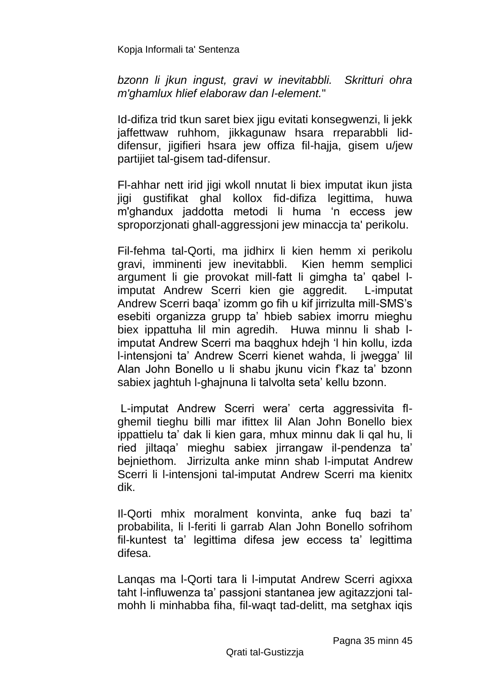*bzonn li jkun ingust, gravi w inevitabbli. Skritturi ohra m'ghamlux hlief elaboraw dan l-element.*"

Id-difiza trid tkun saret biex jigu evitati konsegwenzi, li jekk jaffettwaw ruhhom, jikkagunaw hsara rreparabbli liddifensur, jigifieri hsara jew offiza fil-hajja, gisem u/jew partijiet tal-gisem tad-difensur.

Fl-ahhar nett irid jigi wkoll nnutat li biex imputat ikun jista jigi gustifikat ghal kollox fid-difiza legittima, huwa m'ghandux jaddotta metodi li huma 'n eccess jew sproporzjonati ghall-aggressjoni jew minaccja ta' perikolu.

Fil-fehma tal-Qorti, ma jidhirx li kien hemm xi perikolu gravi, imminenti jew inevitabbli. Kien hemm semplici argument li gie provokat mill-fatt li gimgha ta' qabel limputat Andrew Scerri kien gie aggredit. L-imputat Andrew Scerri baqa' izomm go fih u kif jirrizulta mill-SMS's esebiti organizza grupp ta' hbieb sabiex imorru mieghu biex ippattuha lil min agredih. Huwa minnu li shab limputat Andrew Scerri ma baqghux hdejh 'l hin kollu, izda l-intensjoni ta' Andrew Scerri kienet wahda, li jwegga' lil Alan John Bonello u li shabu jkunu vicin f'kaz ta' bzonn sabiex jaghtuh l-ghajnuna li talvolta seta' kellu bzonn.

L-imputat Andrew Scerri wera' certa aggressivita flghemil tieghu billi mar ifittex lil Alan John Bonello biex ippattielu ta' dak li kien gara, mhux minnu dak li qal hu, li ried jiltaqa' mieghu sabiex jirrangaw il-pendenza ta' bejniethom. Jirrizulta anke minn shab l-imputat Andrew Scerri li l-intensjoni tal-imputat Andrew Scerri ma kienitx dik.

Il-Qorti mhix moralment konvinta, anke fuq bazi ta' probabilita, li l-feriti li garrab Alan John Bonello sofrihom fil-kuntest ta' legittima difesa jew eccess ta' legittima difesa.

Lanqas ma l-Qorti tara li l-imputat Andrew Scerri agixxa taht l-influwenza ta' passjoni stantanea jew agitazzjoni talmohh li minhabba fiha, fil-waqt tad-delitt, ma setghax iqis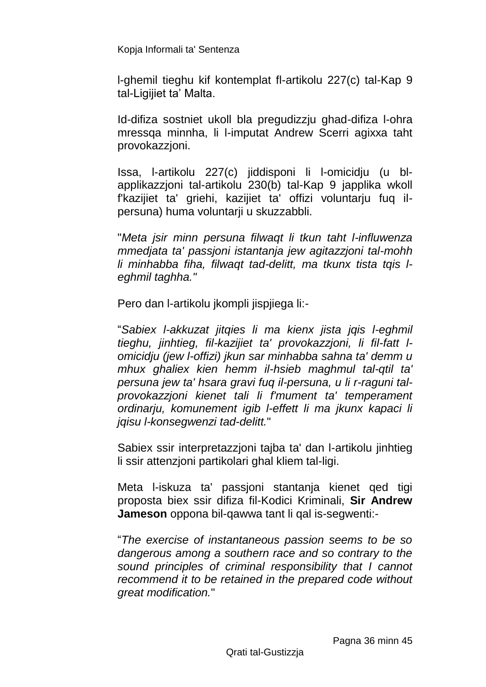l-ghemil tieghu kif kontemplat fl-artikolu 227(c) tal-Kap 9 tal-Ligijiet ta' Malta.

Id-difiza sostniet ukoll bla pregudizzju ghad-difiza l-ohra mressqa minnha, li l-imputat Andrew Scerri agixxa taht provokazzjoni.

Issa, l-artikolu 227(c) jiddisponi li l-omicidju (u blapplikazzjoni tal-artikolu 230(b) tal-Kap 9 japplika wkoll f'kazijiet ta' griehi, kazijiet ta' offizi voluntarju fuq ilpersuna) huma voluntarji u skuzzabbli.

"*Meta jsir minn persuna filwaqt li tkun taht l-influwenza mmedjata ta' passjoni istantanja jew agitazzjoni tal-mohh li minhabba fiha, filwaqt tad-delitt, ma tkunx tista tqis leghmil taghha."*

Pero dan l-artikolu jkompli jispjiega li:-

"*Sabiex l-akkuzat jitqies li ma kienx jista jqis l-eghmil tieghu, jinhtieg, fil-kazijiet ta' provokazzjoni, li fil-fatt lomicidju (jew l-offizi) jkun sar minhabba sahna ta' demm u mhux ghaliex kien hemm il-hsieb maghmul tal-qtil ta' persuna jew ta' hsara gravi fuq il-persuna, u li r-raguni talprovokazzjoni kienet tali li f'mument ta' temperament ordinarju, komunement igib l-effett li ma jkunx kapaci li jqisu l-konsegwenzi tad-delitt.*"

Sabiex ssir interpretazzjoni tajba ta' dan l-artikolu jinhtieg li ssir attenzjoni partikolari ghal kliem tal-ligi.

Meta l-iskuza ta' passjoni stantanja kienet qed tigi proposta biex ssir difiza fil-Kodici Kriminali, **Sir Andrew Jameson** oppona bil-qawwa tant li qal is-segwenti:-

"*The exercise of instantaneous passion seems to be so dangerous among a southern race and so contrary to the sound principles of criminal responsibility that I cannot recommend it to be retained in the prepared code without great modification.*"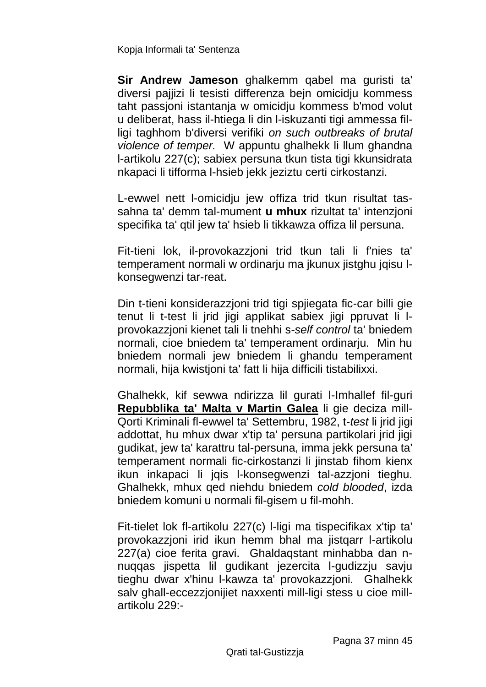**Sir Andrew Jameson** ghalkemm qabel ma guristi ta' diversi pajjizi li tesisti differenza bejn omicidju kommess taht passjoni istantanja w omicidju kommess b'mod volut u deliberat, hass il-htiega li din l-iskuzanti tigi ammessa filligi taghhom b'diversi verifiki *on such outbreaks of brutal violence of temper.* W appuntu ghalhekk li llum ghandna l-artikolu 227(c); sabiex persuna tkun tista tigi kkunsidrata nkapaci li tifforma l-hsieb jekk jeziztu certi cirkostanzi.

L-ewwel nett l-omicidju jew offiza trid tkun risultat tassahna ta' demm tal-mument **u mhux** rizultat ta' intenzjoni specifika ta' qtil jew ta' hsieb li tikkawza offiza lil persuna.

Fit-tieni lok, il-provokazzjoni trid tkun tali li f'nies ta' temperament normali w ordinarju ma jkunux jistghu jqisu lkonsegwenzi tar-reat.

Din t-tieni konsiderazzjoni trid tigi spjiegata fic-car billi gie tenut li t-test li jrid jigi applikat sabiex jigi ppruvat li lprovokazzjoni kienet tali li tnehhi s-*self control* ta' bniedem normali, cioe bniedem ta' temperament ordinarju. Min hu bniedem normali jew bniedem li ghandu temperament normali, hija kwistjoni ta' fatt li hija difficili tistabilixxi.

Ghalhekk, kif sewwa ndirizza lil gurati l-Imhallef fil-guri **Repubblika ta' Malta v Martin Galea** li gie deciza mill-Qorti Kriminali fl-ewwel ta' Settembru, 1982, t-*test* li jrid jigi addottat, hu mhux dwar x'tip ta' persuna partikolari jrid jigi gudikat, jew ta' karattru tal-persuna, imma jekk persuna ta' temperament normali fic-cirkostanzi li jinstab fihom kienx ikun inkapaci li jqis l-konsegwenzi tal-azzjoni tieghu. Ghalhekk, mhux qed niehdu bniedem *cold blooded*, izda bniedem komuni u normali fil-gisem u fil-mohh.

Fit-tielet lok fl-artikolu 227(c) l-ligi ma tispecifikax x'tip ta' provokazzjoni irid ikun hemm bhal ma jistqarr l-artikolu 227(a) cioe ferita gravi. Ghaldaqstant minhabba dan nnuqqas jispetta lil gudikant jezercita l-gudizzju savju tieghu dwar x'hinu l-kawza ta' provokazzjoni. Ghalhekk salv ghall-eccezzjonijiet naxxenti mill-ligi stess u cioe millartikolu 229:-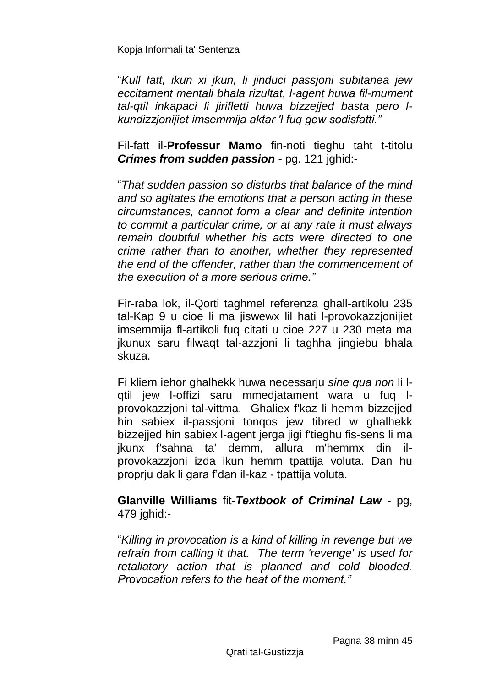"*Kull fatt, ikun xi jkun, li jinduci passjoni subitanea jew eccitament mentali bhala rizultat, l-agent huwa fil-mument tal-qtil inkapaci li jirifletti huwa bizzejjed basta pero lkundizzjonijiet imsemmija aktar 'l fuq gew sodisfatti."*

Fil-fatt il-**Professur Mamo** fin-noti tieghu taht t-titolu *Crimes from sudden passion* - pg. 121 jghid:-

"*That sudden passion so disturbs that balance of the mind and so agitates the emotions that a person acting in these circumstances, cannot form a clear and definite intention to commit a particular crime, or at any rate it must always remain doubtful whether his acts were directed to one crime rather than to another, whether they represented the end of the offender, rather than the commencement of the execution of a more serious crime."*

Fir-raba lok, il-Qorti taghmel referenza ghall-artikolu 235 tal-Kap 9 u cioe li ma jiswewx lil hati l-provokazzjonijiet imsemmija fl-artikoli fuq citati u cioe 227 u 230 meta ma jkunux saru filwaqt tal-azzjoni li taghha jingiebu bhala skuza.

Fi kliem iehor ghalhekk huwa necessarju *sine qua non* li lqtil jew l-offizi saru mmedjatament wara u fuq lprovokazzjoni tal-vittma. Ghaliex f'kaz li hemm bizzejjed hin sabiex il-passjoni tonqos jew tibred w ghalhekk bizzejjed hin sabiex l-agent jerga jigi f'tieghu fis-sens li ma jkunx f'sahna ta' demm, allura m'hemmx din ilprovokazzjoni izda ikun hemm tpattija voluta. Dan hu proprju dak li gara f'dan il-kaz - tpattija voluta.

#### **Glanville Williams** fit-*Textbook of Criminal Law* - pg, 479 jghid:-

"*Killing in provocation is a kind of killing in revenge but we refrain from calling it that. The term 'revenge' is used for retaliatory action that is planned and cold blooded. Provocation refers to the heat of the moment."*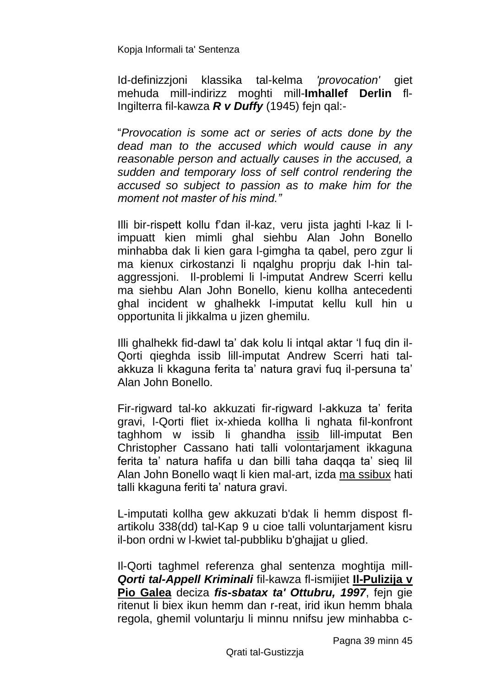Id-definizzjoni klassika tal-kelma *'provocation'* giet mehuda mill-indirizz moghti mill-**Imhallef Derlin** fl-Ingilterra fil-kawza *R v Duffy* (1945) fejn qal:-

"*Provocation is some act or series of acts done by the dead man to the accused which would cause in any reasonable person and actually causes in the accused, a sudden and temporary loss of self control rendering the accused so subject to passion as to make him for the moment not master of his mind."*

Illi bir-rispett kollu f'dan il-kaz, veru jista jaghti l-kaz li limpuatt kien mimli ghal siehbu Alan John Bonello minhabba dak li kien gara l-gimgha ta qabel, pero zgur li ma kienux cirkostanzi li nqalghu proprju dak l-hin talaggressjoni. Il-problemi li l-imputat Andrew Scerri kellu ma siehbu Alan John Bonello, kienu kollha antecedenti ghal incident w ghalhekk l-imputat kellu kull hin u opportunita li jikkalma u jizen ghemilu.

Illi ghalhekk fid-dawl ta' dak kolu li intqal aktar 'l fuq din il-Qorti qieghda issib lill-imputat Andrew Scerri hati talakkuza li kkaguna ferita ta' natura gravi fuq il-persuna ta' Alan John Bonello.

Fir-rigward tal-ko akkuzati fir-rigward l-akkuza ta' ferita gravi, l-Qorti fliet ix-xhieda kollha li nghata fil-konfront taghhom w issib li ghandha issib lill-imputat Ben Christopher Cassano hati talli volontarjament ikkaguna ferita ta' natura hafifa u dan billi taha daqqa ta' sieq lil Alan John Bonello waqt li kien mal-art, izda ma ssibux hati talli kkaguna feriti ta' natura gravi.

L-imputati kollha gew akkuzati b'dak li hemm dispost flartikolu 338(dd) tal-Kap 9 u cioe talli voluntarjament kisru il-bon ordni w l-kwiet tal-pubbliku b'ghajjat u glied.

Il-Qorti taghmel referenza ghal sentenza moghtija mill-*Qorti tal-Appell Kriminali* fil-kawza fl-ismijiet **Il-Pulizija v Pio Galea** deciza *fis-sbatax ta' Ottubru, 1997*, fejn gie ritenut li biex ikun hemm dan r-reat, irid ikun hemm bhala regola, ghemil voluntarju li minnu nnifsu jew minhabba c-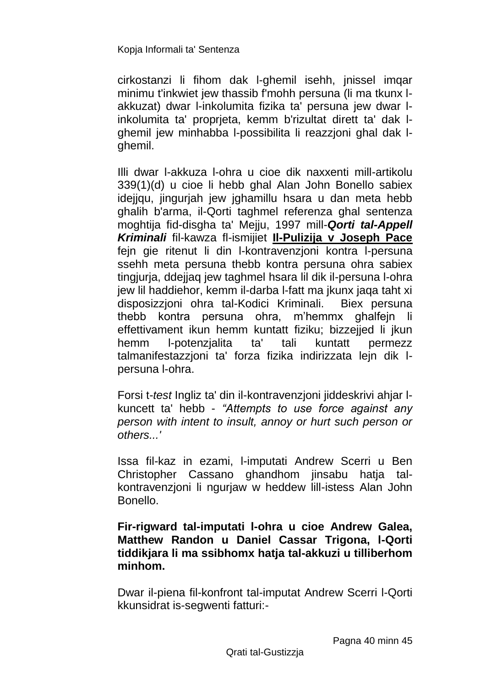cirkostanzi li fihom dak l-ghemil isehh, jnissel imqar minimu t'inkwiet jew thassib f'mohh persuna (li ma tkunx lakkuzat) dwar l-inkolumita fizika ta' persuna jew dwar linkolumita ta' proprjeta, kemm b'rizultat dirett ta' dak lghemil jew minhabba l-possibilita li reazzjoni ghal dak lghemil.

Illi dwar l-akkuza l-ohra u cioe dik naxxenti mill-artikolu 339(1)(d) u cioe li hebb ghal Alan John Bonello sabiex idejjqu, jingurjah jew jghamillu hsara u dan meta hebb ghalih b'arma, il-Qorti taghmel referenza ghal sentenza moghtija fid-disgha ta' Mejju, 1997 mill-*Qorti tal-Appell Kriminali* fil-kawza fl-ismijiet **Il-Pulizija v Joseph Pace** fejn gie ritenut li din l-kontravenzjoni kontra l-persuna ssehh meta persuna thebb kontra persuna ohra sabiex tingjurja, ddejjaq jew taghmel hsara lil dik il-persuna l-ohra jew lil haddiehor, kemm il-darba l-fatt ma jkunx jaqa taht xi disposizzjoni ohra tal-Kodici Kriminali. Biex persuna thebb kontra persuna ohra, m'hemmx ghalfejn li effettivament ikun hemm kuntatt fiziku: bizzeijed li ikun hemm l-potenzjalita ta' tali kuntatt permezz talmanifestazzioni ta' forza fizika indirizzata lein dik Ipersuna l-ohra.

Forsi t-*test* Ingliz ta' din il-kontravenzjoni jiddeskrivi ahjar lkuncett ta' hebb - *"Attempts to use force against any person with intent to insult, annoy or hurt such person or others...'*

Issa fil-kaz in ezami, l-imputati Andrew Scerri u Ben Christopher Cassano ghandhom jinsabu hatja talkontravenzjoni li ngurjaw w heddew lill-istess Alan John Bonello.

### **Fir-rigward tal-imputati l-ohra u cioe Andrew Galea, Matthew Randon u Daniel Cassar Trigona, l-Qorti tiddikjara li ma ssibhomx hatja tal-akkuzi u tilliberhom minhom.**

Dwar il-piena fil-konfront tal-imputat Andrew Scerri l-Qorti kkunsidrat is-segwenti fatturi:-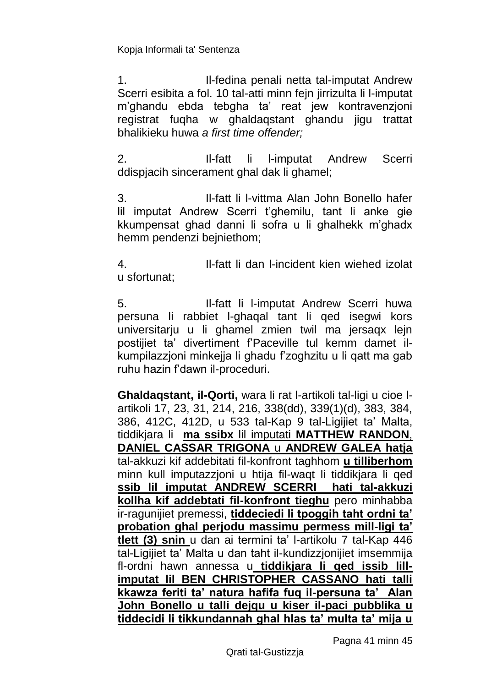1. Il-fedina penali netta tal-imputat Andrew Scerri esibita a fol. 10 tal-atti minn fejn jirrizulta li l-imputat m'ghandu ebda tebgha ta' reat jew kontravenzjoni registrat fuqha w ghaldaqstant ghandu jigu trattat bhalikieku huwa *a first time offender;*

2. Il-fatt li l-imputat Andrew Scerri ddispjacih sincerament ghal dak li ghamel;

3. Il-fatt li l-vittma Alan John Bonello hafer lil imputat Andrew Scerri t'ghemilu, tant li anke gie kkumpensat ghad danni li sofra u li ghalhekk m'ghadx hemm pendenzi bejniethom;

4. Il-fatt li dan l-incident kien wiehed izolat u sfortunat;

5. Il-fatt li l-imputat Andrew Scerri huwa persuna li rabbiet l-ghaqal tant li qed isegwi kors universitarju u li ghamel zmien twil ma jersaqx lejn postijiet ta' divertiment f'Paceville tul kemm damet ilkumpilazzjoni minkejja li ghadu f'zoghzitu u li qatt ma gab ruhu hazin f'dawn il-proceduri.

**Ghaldaqstant, il-Qorti,** wara li rat l-artikoli tal-ligi u cioe lartikoli 17, 23, 31, 214, 216, 338(dd), 339(1)(d), 383, 384, 386, 412C, 412D, u 533 tal-Kap 9 tal-Ligijiet ta' Malta, tiddikjara li **ma ssibx** lil imputati **MATTHEW RANDON**, **DANIEL CASSAR TRIGONA** u **ANDREW GALEA hatja** tal-akkuzi kif addebitati fil-konfront taghhom **u tilliberhom** minn kull imputazzjoni u htija fil-waqt li tiddikjara li qed **ssib lil imputat ANDREW SCERRI hati tal-akkuzi kollha kif addebtati fil-konfront tieghu** pero minhabba ir-ragunijiet premessi, **tiddeciedi li tpoggih taht ordni ta' probation ghal perjodu massimu permess mill-ligi ta' tlett (3) snin** u dan ai termini ta' l-artikolu 7 tal-Kap 446 tal-Ligijiet ta' Malta u dan taht il-kundizzjonijiet imsemmija fl-ordni hawn annessa u **tiddikjara li qed issib lillimputat lil BEN CHRISTOPHER CASSANO hati talli kkawza feriti ta' natura hafifa fuq il-persuna ta' Alan John Bonello u talli dejqu u kiser il-paci pubblika u tiddecidi li tikkundannah ghal hlas ta' multa ta' mija u**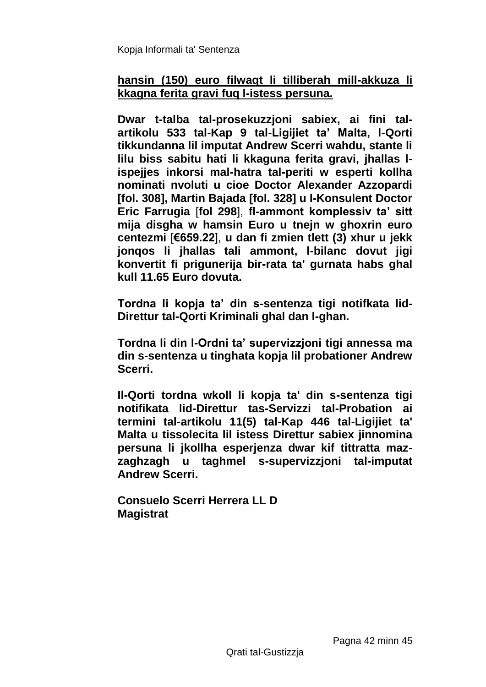### **hansin (150) euro filwaqt li tilliberah mill-akkuza li kkagna ferita gravi fuq l-istess persuna.**

**Dwar t-talba tal-prosekuzzjoni sabiex, ai fini talartikolu 533 tal-Kap 9 tal-Ligijiet ta' Malta, l-Qorti tikkundanna lil imputat Andrew Scerri wahdu, stante li lilu biss sabitu hati li kkaguna ferita gravi, jhallas lispejjes inkorsi mal-hatra tal-periti w esperti kollha nominati nvoluti u cioe Doctor Alexander Azzopardi [fol. 308], Martin Bajada [fol. 328] u l-Konsulent Doctor Eric Farrugia** [**fol 298**], **fl-ammont komplessiv ta' sitt mija disgha w hamsin Euro u tnejn w ghoxrin euro centezmi** [**€659.22**], **u dan fi zmien tlett (3) xhur u jekk jonqos li jhallas tali ammont, l-bilanc dovut jigi konvertit fi prigunerija bir-rata ta' gurnata habs ghal kull 11.65 Euro dovuta.**

**Tordna li kopja ta' din s-sentenza tigi notifkata lid-Direttur tal-Qorti Kriminali ghal dan l-ghan.**

**Tordna li din l-Ordni ta' supervizzjoni tigi annessa ma din s-sentenza u tinghata kopja lil probationer Andrew Scerri.**

**Il-Qorti tordna wkoll li kopja ta' din s-sentenza tigi notifikata lid-Direttur tas-Servizzi tal-Probation ai termini tal-artikolu 11(5) tal-Kap 446 tal-Ligijiet ta' Malta u tissolecita lil istess Direttur sabiex jinnomina persuna li jkollha esperjenza dwar kif tittratta mazzaghzagh u taghmel s-supervizzjoni tal-imputat Andrew Scerri.**

**Consuelo Scerri Herrera LL D Magistrat**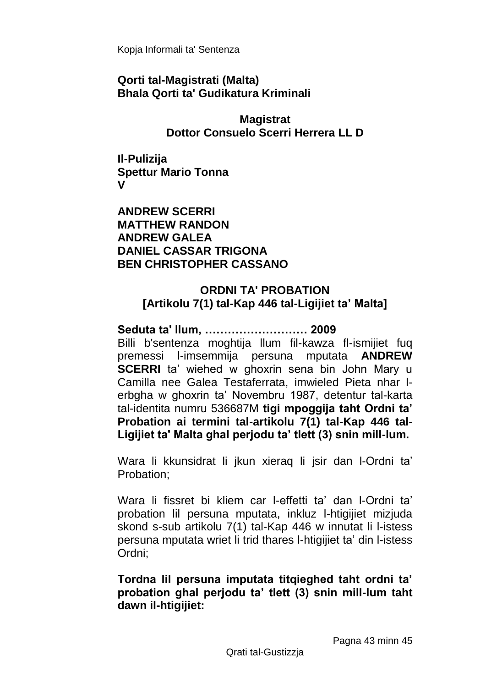**Qorti tal-Magistrati (Malta) Bhala Qorti ta' Gudikatura Kriminali**

> **Magistrat Dottor Consuelo Scerri Herrera LL D**

**Il-Pulizija Spettur Mario Tonna V**

**ANDREW SCERRI MATTHEW RANDON ANDREW GALEA DANIEL CASSAR TRIGONA BEN CHRISTOPHER CASSANO**

### **ORDNI TA' PROBATION [Artikolu 7(1) tal-Kap 446 tal-Ligijiet ta' Malta]**

**Seduta ta' llum, ……………………… 2009** Billi b'sentenza moghtija llum fil-kawza fl-ismijiet fuq premessi l-imsemmija persuna mputata **ANDREW SCERRI** ta' wiehed w ghoxrin sena bin John Mary u Camilla nee Galea Testaferrata, imwieled Pieta nhar lerbgha w ghoxrin ta' Novembru 1987, detentur tal-karta tal-identita numru 536687M **tigi mpoggija taht Ordni ta' Probation ai termini tal-artikolu 7(1) tal-Kap 446 tal-Ligijiet ta' Malta ghal perjodu ta' tlett (3) snin mill-lum.**

Wara li kkunsidrat li jkun xieraq li jsir dan l-Ordni ta' Probation;

Wara li fissret bi kliem car l-effetti ta' dan l-Ordni ta' probation lil persuna mputata, inkluz l-htigijiet mizjuda skond s-sub artikolu 7(1) tal-Kap 446 w innutat li l-istess persuna mputata wriet li trid thares l-htigijiet ta' din l-istess Ordni;

### **Tordna lil persuna imputata titqieghed taht ordni ta' probation ghal perjodu ta' tlett (3) snin mill-lum taht dawn il-htigijiet:**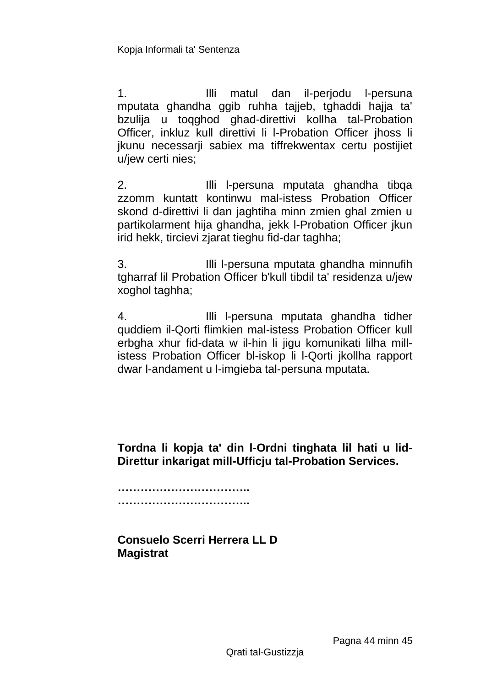1. Illi matul dan il-perjodu l-persuna mputata ghandha ggib ruhha tajjeb, tghaddi hajja ta' bzulija u toqghod ghad-direttivi kollha tal-Probation Officer, inkluz kull direttivi li l-Probation Officer jhoss li jkunu necessarji sabiex ma tiffrekwentax certu postijiet u/jew certi nies;

2. Illi l-persuna mputata ghandha tibqa zzomm kuntatt kontinwu mal-istess Probation Officer skond d-direttivi li dan jaghtiha minn zmien ghal zmien u partikolarment hija ghandha, jekk l-Probation Officer jkun irid hekk, tircievi zjarat tieghu fid-dar taghha;

3. Illi l-persuna mputata ghandha minnufih tgharraf lil Probation Officer b'kull tibdil ta' residenza u/jew xoghol taghha;

4. Illi l-persuna mputata ghandha tidher quddiem il-Qorti flimkien mal-istess Probation Officer kull erbgha xhur fid-data w il-hin li jigu komunikati lilha millistess Probation Officer bl-iskop li l-Qorti jkollha rapport dwar l-andament u l-imgieba tal-persuna mputata.

**Tordna li kopja ta' din l-Ordni tinghata lil hati u lid-Direttur inkarigat mill-Ufficju tal-Probation Services.**

**…………………………….. ……………………………..**

**Consuelo Scerri Herrera LL D Magistrat**